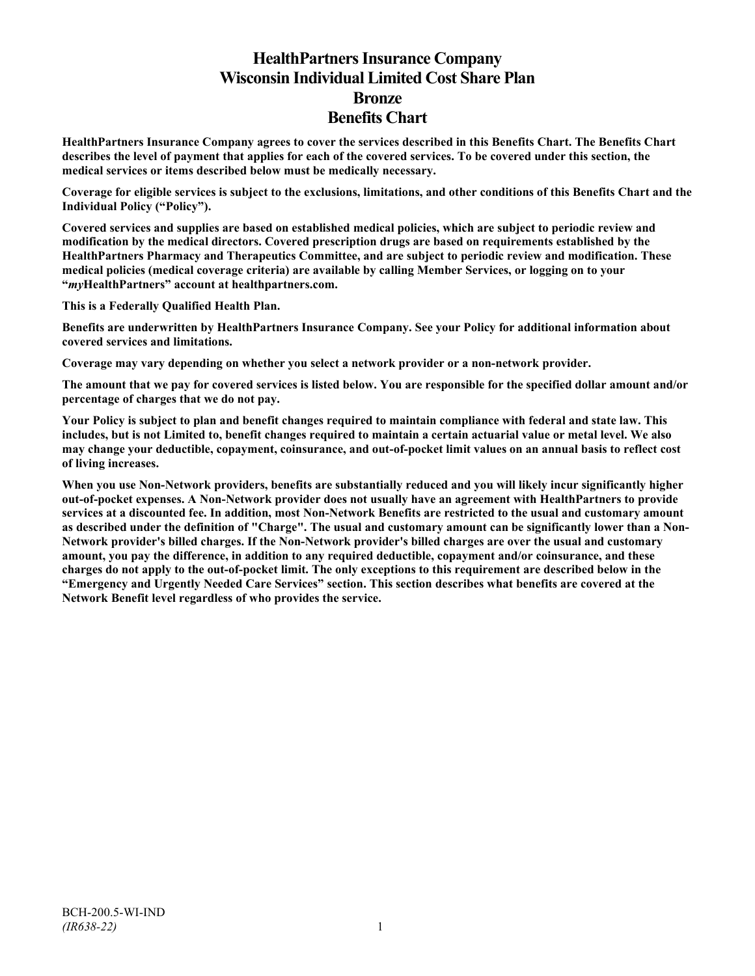# **HealthPartners Insurance Company Wisconsin Individual Limited Cost Share Plan Bronze Benefits Chart**

**HealthPartners Insurance Company agrees to cover the services described in this Benefits Chart. The Benefits Chart describes the level of payment that applies for each of the covered services. To be covered under this section, the medical services or items described below must be medically necessary.**

**Coverage for eligible services is subject to the exclusions, limitations, and other conditions of this Benefits Chart and the Individual Policy ("Policy").**

**Covered services and supplies are based on established medical policies, which are subject to periodic review and modification by the medical directors. Covered prescription drugs are based on requirements established by the HealthPartners Pharmacy and Therapeutics Committee, and are subject to periodic review and modification. These medical policies (medical coverage criteria) are available by calling Member Services, or logging on to your "***my***HealthPartners" account at [healthpartners.com.](http://www.healthpartners.com/)**

**This is a Federally Qualified Health Plan.**

**Benefits are underwritten by HealthPartners Insurance Company. See your Policy for additional information about covered services and limitations.**

**Coverage may vary depending on whether you select a network provider or a non-network provider.**

**The amount that we pay for covered services is listed below. You are responsible for the specified dollar amount and/or percentage of charges that we do not pay.**

**Your Policy is subject to plan and benefit changes required to maintain compliance with federal and state law. This includes, but is not Limited to, benefit changes required to maintain a certain actuarial value or metal level. We also may change your deductible, copayment, coinsurance, and out-of-pocket limit values on an annual basis to reflect cost of living increases.**

**When you use Non-Network providers, benefits are substantially reduced and you will likely incur significantly higher out-of-pocket expenses. A Non-Network provider does not usually have an agreement with HealthPartners to provide services at a discounted fee. In addition, most Non-Network Benefits are restricted to the usual and customary amount as described under the definition of "Charge". The usual and customary amount can be significantly lower than a Non-Network provider's billed charges. If the Non-Network provider's billed charges are over the usual and customary amount, you pay the difference, in addition to any required deductible, copayment and/or coinsurance, and these charges do not apply to the out-of-pocket limit. The only exceptions to this requirement are described below in the "Emergency and Urgently Needed Care Services" section. This section describes what benefits are covered at the Network Benefit level regardless of who provides the service.**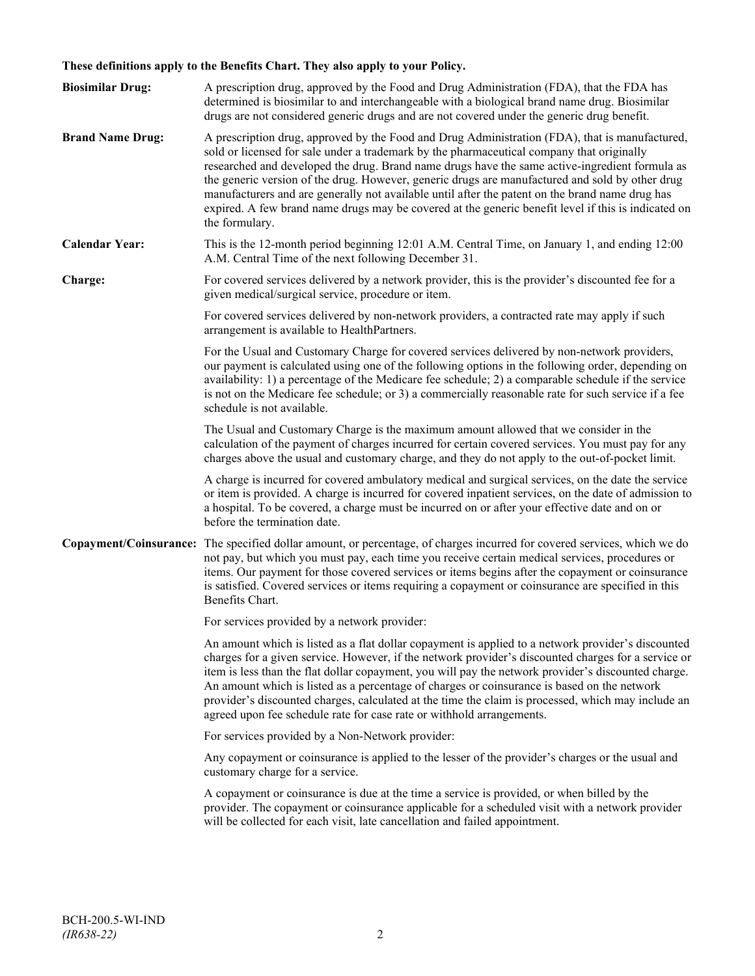## **These definitions apply to the Benefits Chart. They also apply to your Policy.**

| <b>Biosimilar Drug:</b> | A prescription drug, approved by the Food and Drug Administration (FDA), that the FDA has<br>determined is biosimilar to and interchangeable with a biological brand name drug. Biosimilar<br>drugs are not considered generic drugs and are not covered under the generic drug benefit.                                                                                                                                                                                                                                                                                                                                     |
|-------------------------|------------------------------------------------------------------------------------------------------------------------------------------------------------------------------------------------------------------------------------------------------------------------------------------------------------------------------------------------------------------------------------------------------------------------------------------------------------------------------------------------------------------------------------------------------------------------------------------------------------------------------|
| <b>Brand Name Drug:</b> | A prescription drug, approved by the Food and Drug Administration (FDA), that is manufactured,<br>sold or licensed for sale under a trademark by the pharmaceutical company that originally<br>researched and developed the drug. Brand name drugs have the same active-ingredient formula as<br>the generic version of the drug. However, generic drugs are manufactured and sold by other drug<br>manufacturers and are generally not available until after the patent on the brand name drug has<br>expired. A few brand name drugs may be covered at the generic benefit level if this is indicated on<br>the formulary. |
| <b>Calendar Year:</b>   | This is the 12-month period beginning 12:01 A.M. Central Time, on January 1, and ending 12:00<br>A.M. Central Time of the next following December 31.                                                                                                                                                                                                                                                                                                                                                                                                                                                                        |
| Charge:                 | For covered services delivered by a network provider, this is the provider's discounted fee for a<br>given medical/surgical service, procedure or item.                                                                                                                                                                                                                                                                                                                                                                                                                                                                      |
|                         | For covered services delivered by non-network providers, a contracted rate may apply if such<br>arrangement is available to HealthPartners.                                                                                                                                                                                                                                                                                                                                                                                                                                                                                  |
|                         | For the Usual and Customary Charge for covered services delivered by non-network providers,<br>our payment is calculated using one of the following options in the following order, depending on<br>availability: 1) a percentage of the Medicare fee schedule; 2) a comparable schedule if the service<br>is not on the Medicare fee schedule; or 3) a commercially reasonable rate for such service if a fee<br>schedule is not available.                                                                                                                                                                                 |
|                         | The Usual and Customary Charge is the maximum amount allowed that we consider in the<br>calculation of the payment of charges incurred for certain covered services. You must pay for any<br>charges above the usual and customary charge, and they do not apply to the out-of-pocket limit.                                                                                                                                                                                                                                                                                                                                 |
|                         | A charge is incurred for covered ambulatory medical and surgical services, on the date the service<br>or item is provided. A charge is incurred for covered inpatient services, on the date of admission to<br>a hospital. To be covered, a charge must be incurred on or after your effective date and on or<br>before the termination date.                                                                                                                                                                                                                                                                                |
|                         | Copayment/Coinsurance: The specified dollar amount, or percentage, of charges incurred for covered services, which we do<br>not pay, but which you must pay, each time you receive certain medical services, procedures or<br>items. Our payment for those covered services or items begins after the copayment or coinsurance<br>is satisfied. Covered services or items requiring a copayment or coinsurance are specified in this<br>Benefits Chart.                                                                                                                                                                      |
|                         | For services provided by a network provider:                                                                                                                                                                                                                                                                                                                                                                                                                                                                                                                                                                                 |
|                         | An amount which is listed as a flat dollar copayment is applied to a network provider's discounted<br>charges for a given service. However, if the network provider's discounted charges for a service or<br>item is less than the flat dollar copayment, you will pay the network provider's discounted charge.<br>An amount which is listed as a percentage of charges or coinsurance is based on the network<br>provider's discounted charges, calculated at the time the claim is processed, which may include an<br>agreed upon fee schedule rate for case rate or withhold arrangements.                               |
|                         | For services provided by a Non-Network provider:                                                                                                                                                                                                                                                                                                                                                                                                                                                                                                                                                                             |
|                         | Any copayment or coinsurance is applied to the lesser of the provider's charges or the usual and<br>customary charge for a service.                                                                                                                                                                                                                                                                                                                                                                                                                                                                                          |
|                         | A copayment or coinsurance is due at the time a service is provided, or when billed by the<br>provider. The copayment or coinsurance applicable for a scheduled visit with a network provider<br>will be collected for each visit, late cancellation and failed appointment.                                                                                                                                                                                                                                                                                                                                                 |
|                         |                                                                                                                                                                                                                                                                                                                                                                                                                                                                                                                                                                                                                              |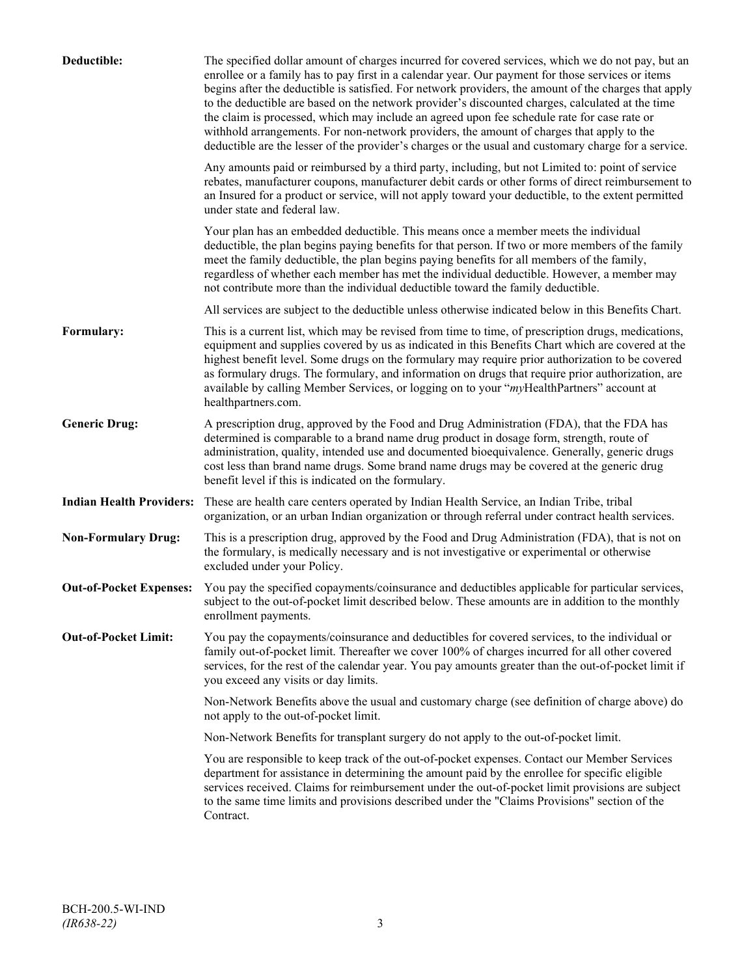| Deductible:                     | The specified dollar amount of charges incurred for covered services, which we do not pay, but an<br>enrollee or a family has to pay first in a calendar year. Our payment for those services or items<br>begins after the deductible is satisfied. For network providers, the amount of the charges that apply<br>to the deductible are based on the network provider's discounted charges, calculated at the time<br>the claim is processed, which may include an agreed upon fee schedule rate for case rate or<br>withhold arrangements. For non-network providers, the amount of charges that apply to the<br>deductible are the lesser of the provider's charges or the usual and customary charge for a service. |
|---------------------------------|-------------------------------------------------------------------------------------------------------------------------------------------------------------------------------------------------------------------------------------------------------------------------------------------------------------------------------------------------------------------------------------------------------------------------------------------------------------------------------------------------------------------------------------------------------------------------------------------------------------------------------------------------------------------------------------------------------------------------|
|                                 | Any amounts paid or reimbursed by a third party, including, but not Limited to: point of service<br>rebates, manufacturer coupons, manufacturer debit cards or other forms of direct reimbursement to<br>an Insured for a product or service, will not apply toward your deductible, to the extent permitted<br>under state and federal law.                                                                                                                                                                                                                                                                                                                                                                            |
|                                 | Your plan has an embedded deductible. This means once a member meets the individual<br>deductible, the plan begins paying benefits for that person. If two or more members of the family<br>meet the family deductible, the plan begins paying benefits for all members of the family,<br>regardless of whether each member has met the individual deductible. However, a member may<br>not contribute more than the individual deductible toward the family deductible.                                                                                                                                                                                                                                                |
|                                 | All services are subject to the deductible unless otherwise indicated below in this Benefits Chart.                                                                                                                                                                                                                                                                                                                                                                                                                                                                                                                                                                                                                     |
| Formulary:                      | This is a current list, which may be revised from time to time, of prescription drugs, medications,<br>equipment and supplies covered by us as indicated in this Benefits Chart which are covered at the<br>highest benefit level. Some drugs on the formulary may require prior authorization to be covered<br>as formulary drugs. The formulary, and information on drugs that require prior authorization, are<br>available by calling Member Services, or logging on to your "myHealthPartners" account at<br>healthpartners.com.                                                                                                                                                                                   |
| <b>Generic Drug:</b>            | A prescription drug, approved by the Food and Drug Administration (FDA), that the FDA has<br>determined is comparable to a brand name drug product in dosage form, strength, route of<br>administration, quality, intended use and documented bioequivalence. Generally, generic drugs<br>cost less than brand name drugs. Some brand name drugs may be covered at the generic drug<br>benefit level if this is indicated on the formulary.                                                                                                                                                                                                                                                                             |
| <b>Indian Health Providers:</b> | These are health care centers operated by Indian Health Service, an Indian Tribe, tribal<br>organization, or an urban Indian organization or through referral under contract health services.                                                                                                                                                                                                                                                                                                                                                                                                                                                                                                                           |
| <b>Non-Formulary Drug:</b>      | This is a prescription drug, approved by the Food and Drug Administration (FDA), that is not on<br>the formulary, is medically necessary and is not investigative or experimental or otherwise<br>excluded under your Policy.                                                                                                                                                                                                                                                                                                                                                                                                                                                                                           |
| <b>Out-of-Pocket Expenses:</b>  | You pay the specified copayments/coinsurance and deductibles applicable for particular services,<br>subject to the out-of-pocket limit described below. These amounts are in addition to the monthly<br>enrollment payments.                                                                                                                                                                                                                                                                                                                                                                                                                                                                                            |
| <b>Out-of-Pocket Limit:</b>     | You pay the copayments/coinsurance and deductibles for covered services, to the individual or<br>family out-of-pocket limit. Thereafter we cover 100% of charges incurred for all other covered<br>services, for the rest of the calendar year. You pay amounts greater than the out-of-pocket limit if<br>you exceed any visits or day limits.                                                                                                                                                                                                                                                                                                                                                                         |
|                                 | Non-Network Benefits above the usual and customary charge (see definition of charge above) do<br>not apply to the out-of-pocket limit.                                                                                                                                                                                                                                                                                                                                                                                                                                                                                                                                                                                  |
|                                 | Non-Network Benefits for transplant surgery do not apply to the out-of-pocket limit.                                                                                                                                                                                                                                                                                                                                                                                                                                                                                                                                                                                                                                    |
|                                 | You are responsible to keep track of the out-of-pocket expenses. Contact our Member Services<br>department for assistance in determining the amount paid by the enrollee for specific eligible<br>services received. Claims for reimbursement under the out-of-pocket limit provisions are subject<br>to the same time limits and provisions described under the "Claims Provisions" section of the<br>Contract.                                                                                                                                                                                                                                                                                                        |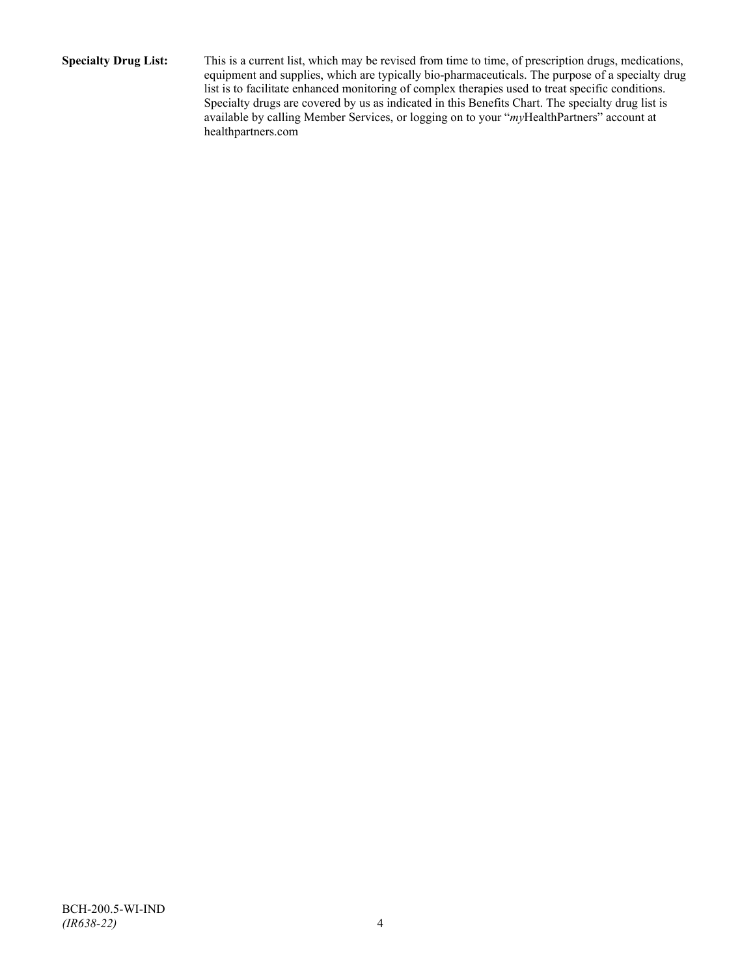**Specialty Drug List:** This is a current list, which may be revised from time to time, of prescription drugs, medications, equipment and supplies, which are typically bio-pharmaceuticals. The purpose of a specialty drug list is to facilitate enhanced monitoring of complex therapies used to treat specific conditions. Specialty drugs are covered by us as indicated in this Benefits Chart. The specialty drug list is available by calling Member Services, or logging on to your "*my*HealthPartners" account at [healthpartners.com](http://www.healthpartners.com/)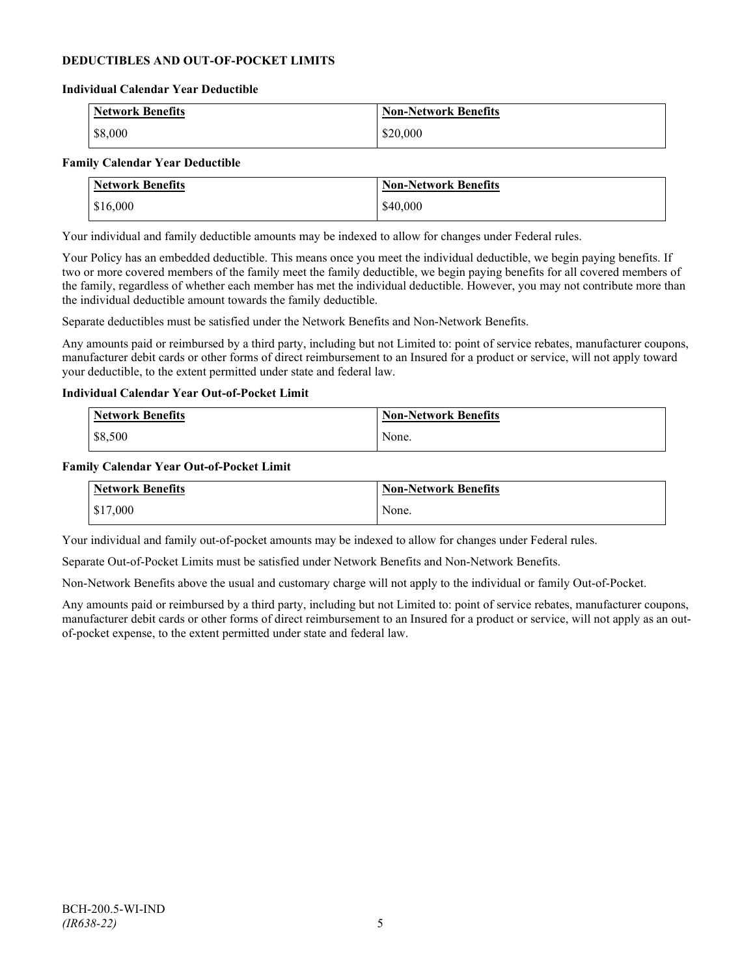#### **DEDUCTIBLES AND OUT-OF-POCKET LIMITS**

#### **Individual Calendar Year Deductible**

| Network Benefits | <b>Non-Network Benefits</b> |
|------------------|-----------------------------|
| $ $ \$8,000      | \$20,000                    |

#### **Family Calendar Year Deductible**

| <b>Network Benefits</b> | <b>Non-Network Benefits</b> |
|-------------------------|-----------------------------|
| \$16,000                | \$40,000                    |

Your individual and family deductible amounts may be indexed to allow for changes under Federal rules.

Your Policy has an embedded deductible. This means once you meet the individual deductible, we begin paying benefits. If two or more covered members of the family meet the family deductible, we begin paying benefits for all covered members of the family, regardless of whether each member has met the individual deductible. However, you may not contribute more than the individual deductible amount towards the family deductible.

Separate deductibles must be satisfied under the Network Benefits and Non-Network Benefits.

Any amounts paid or reimbursed by a third party, including but not Limited to: point of service rebates, manufacturer coupons, manufacturer debit cards or other forms of direct reimbursement to an Insured for a product or service, will not apply toward your deductible, to the extent permitted under state and federal law.

#### **Individual Calendar Year Out-of-Pocket Limit**

| Network Benefits | <b>Non-Network Benefits</b> |
|------------------|-----------------------------|
| \$8,500          | None.                       |

#### **Family Calendar Year Out-of-Pocket Limit**

| Network Benefits       | Non-Network Benefits |
|------------------------|----------------------|
| $\frac{1}{2}$ \$17,000 | None.                |

Your individual and family out-of-pocket amounts may be indexed to allow for changes under Federal rules.

Separate Out-of-Pocket Limits must be satisfied under Network Benefits and Non-Network Benefits.

Non-Network Benefits above the usual and customary charge will not apply to the individual or family Out-of-Pocket.

Any amounts paid or reimbursed by a third party, including but not Limited to: point of service rebates, manufacturer coupons, manufacturer debit cards or other forms of direct reimbursement to an Insured for a product or service, will not apply as an outof-pocket expense, to the extent permitted under state and federal law.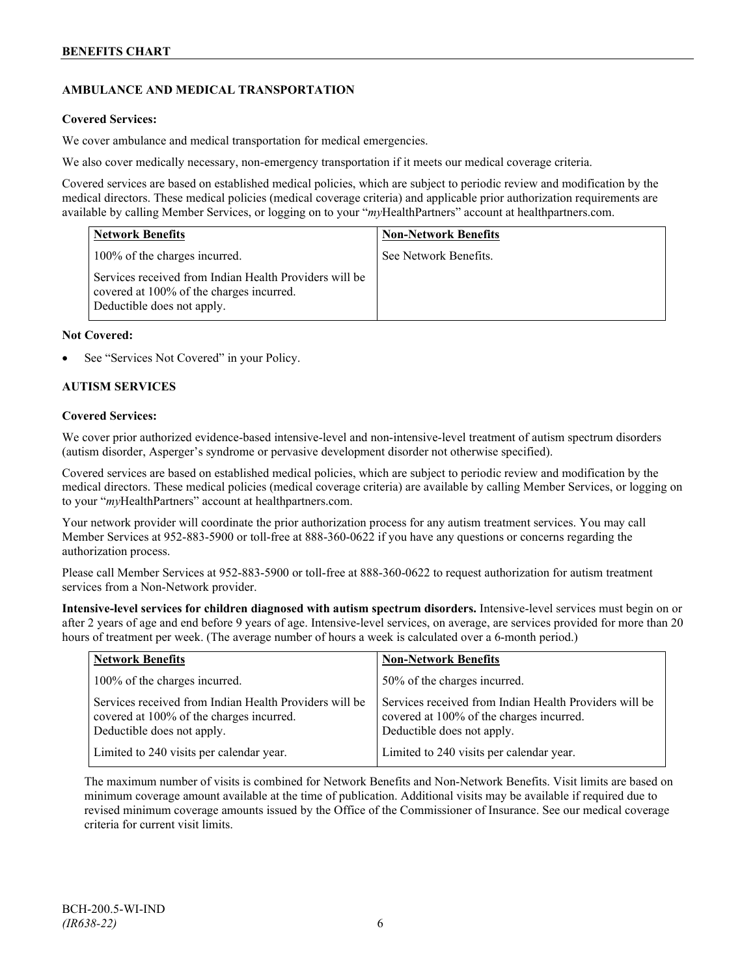## **AMBULANCE AND MEDICAL TRANSPORTATION**

#### **Covered Services:**

We cover ambulance and medical transportation for medical emergencies.

We also cover medically necessary, non-emergency transportation if it meets our medical coverage criteria.

Covered services are based on established medical policies, which are subject to periodic review and modification by the medical directors. These medical policies (medical coverage criteria) and applicable prior authorization requirements are available by calling Member Services, or logging on to your "*my*HealthPartners" account a[t healthpartners.com.](http://www.healthpartners.com/)

| <b>Network Benefits</b>                                                                                                          | <b>Non-Network Benefits</b> |
|----------------------------------------------------------------------------------------------------------------------------------|-----------------------------|
| 100% of the charges incurred.                                                                                                    | See Network Benefits.       |
| Services received from Indian Health Providers will be<br>covered at 100% of the charges incurred.<br>Deductible does not apply. |                             |

#### **Not Covered:**

See "Services Not Covered" in your Policy.

#### **AUTISM SERVICES**

#### **Covered Services:**

We cover prior authorized evidence-based intensive-level and non-intensive-level treatment of autism spectrum disorders (autism disorder, Asperger's syndrome or pervasive development disorder not otherwise specified).

Covered services are based on established medical policies, which are subject to periodic review and modification by the medical directors. These medical policies (medical coverage criteria) are available by calling Member Services, or logging on to your "*my*HealthPartners" account at [healthpartners.com.](http://www.healthpartners.com/)

Your network provider will coordinate the prior authorization process for any autism treatment services. You may call Member Services at 952-883-5900 or toll-free at 888-360-0622 if you have any questions or concerns regarding the authorization process.

Please call Member Services at 952-883-5900 or toll-free at 888-360-0622 to request authorization for autism treatment services from a Non-Network provider.

**Intensive-level services for children diagnosed with autism spectrum disorders.** Intensive-level services must begin on or after 2 years of age and end before 9 years of age. Intensive-level services, on average, are services provided for more than 20 hours of treatment per week. (The average number of hours a week is calculated over a 6-month period.)

| <b>Network Benefits</b>                                                                                                          | <b>Non-Network Benefits</b>                                                                                                      |
|----------------------------------------------------------------------------------------------------------------------------------|----------------------------------------------------------------------------------------------------------------------------------|
| 100% of the charges incurred.                                                                                                    | 50% of the charges incurred.                                                                                                     |
| Services received from Indian Health Providers will be<br>covered at 100% of the charges incurred.<br>Deductible does not apply. | Services received from Indian Health Providers will be<br>covered at 100% of the charges incurred.<br>Deductible does not apply. |
| Limited to 240 visits per calendar year.                                                                                         | Limited to 240 visits per calendar year.                                                                                         |

The maximum number of visits is combined for Network Benefits and Non-Network Benefits. Visit limits are based on minimum coverage amount available at the time of publication. Additional visits may be available if required due to revised minimum coverage amounts issued by the Office of the Commissioner of Insurance. See our medical coverage criteria for current visit limits.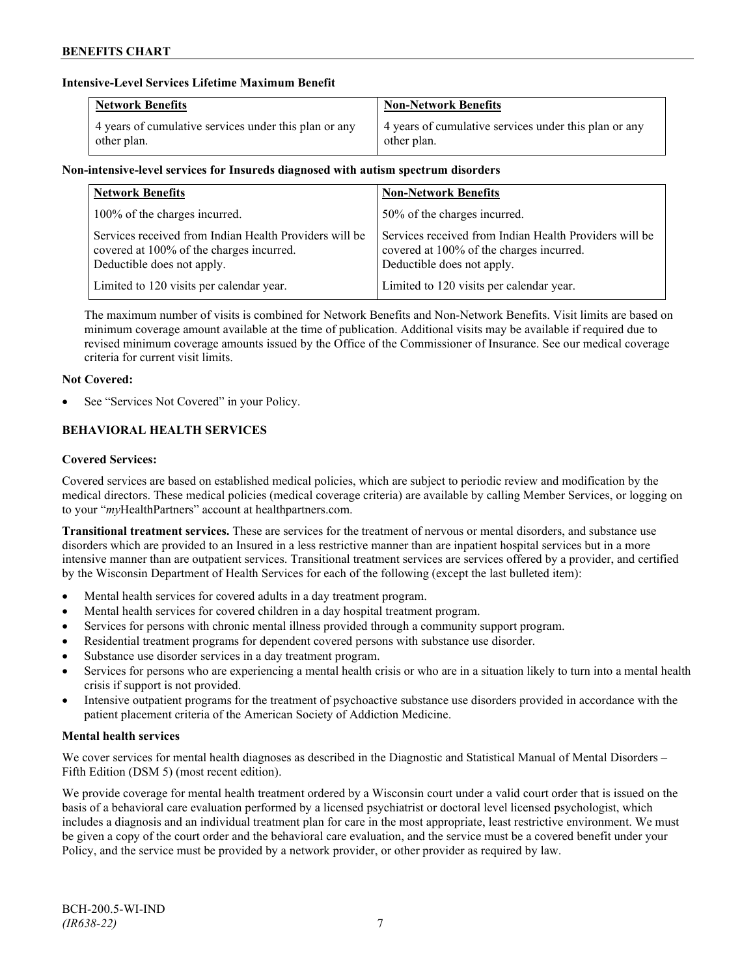#### **Intensive-Level Services Lifetime Maximum Benefit**

| <b>Network Benefits</b>                               | <b>Non-Network Benefits</b>                           |
|-------------------------------------------------------|-------------------------------------------------------|
| 4 years of cumulative services under this plan or any | 4 years of cumulative services under this plan or any |
| other plan.                                           | other plan.                                           |

### **Non-intensive-level services for Insureds diagnosed with autism spectrum disorders**

| <b>Network Benefits</b>                                                                                                          | <b>Non-Network Benefits</b>                                                                                                      |
|----------------------------------------------------------------------------------------------------------------------------------|----------------------------------------------------------------------------------------------------------------------------------|
| 100% of the charges incurred.                                                                                                    | 50% of the charges incurred.                                                                                                     |
| Services received from Indian Health Providers will be<br>covered at 100% of the charges incurred.<br>Deductible does not apply. | Services received from Indian Health Providers will be<br>covered at 100% of the charges incurred.<br>Deductible does not apply. |
| Limited to 120 visits per calendar year.                                                                                         | Limited to 120 visits per calendar year.                                                                                         |

The maximum number of visits is combined for Network Benefits and Non-Network Benefits. Visit limits are based on minimum coverage amount available at the time of publication. Additional visits may be available if required due to revised minimum coverage amounts issued by the Office of the Commissioner of Insurance. See our medical coverage criteria for current visit limits.

## **Not Covered:**

See "Services Not Covered" in your Policy.

## **BEHAVIORAL HEALTH SERVICES**

## **Covered Services:**

Covered services are based on established medical policies, which are subject to periodic review and modification by the medical directors. These medical policies (medical coverage criteria) are available by calling Member Services, or logging on to your "*my*HealthPartners" account at [healthpartners.com.](http://www.healthpartners.com/)

**Transitional treatment services.** These are services for the treatment of nervous or mental disorders, and substance use disorders which are provided to an Insured in a less restrictive manner than are inpatient hospital services but in a more intensive manner than are outpatient services. Transitional treatment services are services offered by a provider, and certified by the Wisconsin Department of Health Services for each of the following (except the last bulleted item):

- Mental health services for covered adults in a day treatment program.
- Mental health services for covered children in a day hospital treatment program.
- Services for persons with chronic mental illness provided through a community support program.
- Residential treatment programs for dependent covered persons with substance use disorder.
- Substance use disorder services in a day treatment program.
- Services for persons who are experiencing a mental health crisis or who are in a situation likely to turn into a mental health crisis if support is not provided.
- Intensive outpatient programs for the treatment of psychoactive substance use disorders provided in accordance with the patient placement criteria of the American Society of Addiction Medicine.

#### **Mental health services**

We cover services for mental health diagnoses as described in the Diagnostic and Statistical Manual of Mental Disorders – Fifth Edition (DSM 5) (most recent edition).

We provide coverage for mental health treatment ordered by a Wisconsin court under a valid court order that is issued on the basis of a behavioral care evaluation performed by a licensed psychiatrist or doctoral level licensed psychologist, which includes a diagnosis and an individual treatment plan for care in the most appropriate, least restrictive environment. We must be given a copy of the court order and the behavioral care evaluation, and the service must be a covered benefit under your Policy, and the service must be provided by a network provider, or other provider as required by law.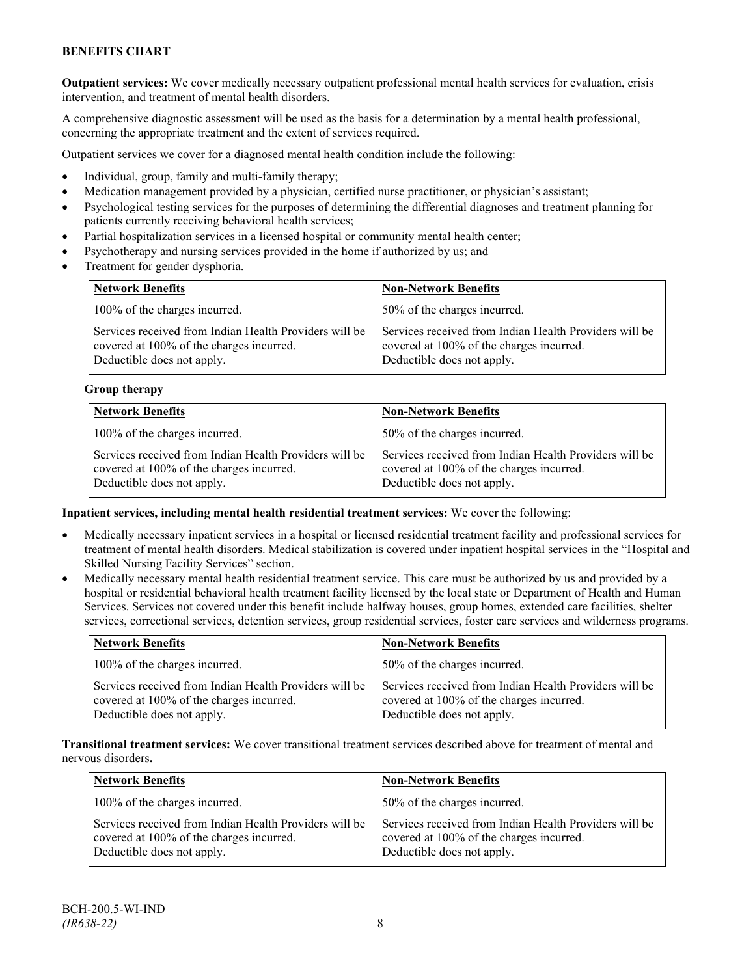**Outpatient services:** We cover medically necessary outpatient professional mental health services for evaluation, crisis intervention, and treatment of mental health disorders.

A comprehensive diagnostic assessment will be used as the basis for a determination by a mental health professional, concerning the appropriate treatment and the extent of services required.

Outpatient services we cover for a diagnosed mental health condition include the following:

- Individual, group, family and multi-family therapy;
- Medication management provided by a physician, certified nurse practitioner, or physician's assistant;
- Psychological testing services for the purposes of determining the differential diagnoses and treatment planning for patients currently receiving behavioral health services;
- Partial hospitalization services in a licensed hospital or community mental health center;
- Psychotherapy and nursing services provided in the home if authorized by us; and
- Treatment for gender dysphoria.

| <b>Network Benefits</b>                                                                                                          | <b>Non-Network Benefits</b>                                                                                                      |
|----------------------------------------------------------------------------------------------------------------------------------|----------------------------------------------------------------------------------------------------------------------------------|
| 100% of the charges incurred.                                                                                                    | 50% of the charges incurred.                                                                                                     |
| Services received from Indian Health Providers will be<br>covered at 100% of the charges incurred.<br>Deductible does not apply. | Services received from Indian Health Providers will be<br>covered at 100% of the charges incurred.<br>Deductible does not apply. |

#### **Group therapy**

| <b>Network Benefits</b>                                                                                                          | <b>Non-Network Benefits</b>                                                                                                      |
|----------------------------------------------------------------------------------------------------------------------------------|----------------------------------------------------------------------------------------------------------------------------------|
| 100% of the charges incurred.                                                                                                    | 50% of the charges incurred.                                                                                                     |
| Services received from Indian Health Providers will be<br>covered at 100% of the charges incurred.<br>Deductible does not apply. | Services received from Indian Health Providers will be<br>covered at 100% of the charges incurred.<br>Deductible does not apply. |

#### **Inpatient services, including mental health residential treatment services:** We cover the following:

- Medically necessary inpatient services in a hospital or licensed residential treatment facility and professional services for treatment of mental health disorders. Medical stabilization is covered under inpatient hospital services in the "Hospital and Skilled Nursing Facility Services" section.
- Medically necessary mental health residential treatment service. This care must be authorized by us and provided by a hospital or residential behavioral health treatment facility licensed by the local state or Department of Health and Human Services. Services not covered under this benefit include halfway houses, group homes, extended care facilities, shelter services, correctional services, detention services, group residential services, foster care services and wilderness programs.

| <b>Network Benefits</b>                                                                                                          | <b>Non-Network Benefits</b>                                                                                                      |
|----------------------------------------------------------------------------------------------------------------------------------|----------------------------------------------------------------------------------------------------------------------------------|
| 100% of the charges incurred.                                                                                                    | 50% of the charges incurred.                                                                                                     |
| Services received from Indian Health Providers will be<br>covered at 100% of the charges incurred.<br>Deductible does not apply. | Services received from Indian Health Providers will be<br>covered at 100% of the charges incurred.<br>Deductible does not apply. |

**Transitional treatment services:** We cover transitional treatment services described above for treatment of mental and nervous disorders**.**

| <b>Network Benefits</b>                                                                                                          | <b>Non-Network Benefits</b>                                                                                                      |
|----------------------------------------------------------------------------------------------------------------------------------|----------------------------------------------------------------------------------------------------------------------------------|
| 100% of the charges incurred.                                                                                                    | 50% of the charges incurred.                                                                                                     |
| Services received from Indian Health Providers will be<br>covered at 100% of the charges incurred.<br>Deductible does not apply. | Services received from Indian Health Providers will be<br>covered at 100% of the charges incurred.<br>Deductible does not apply. |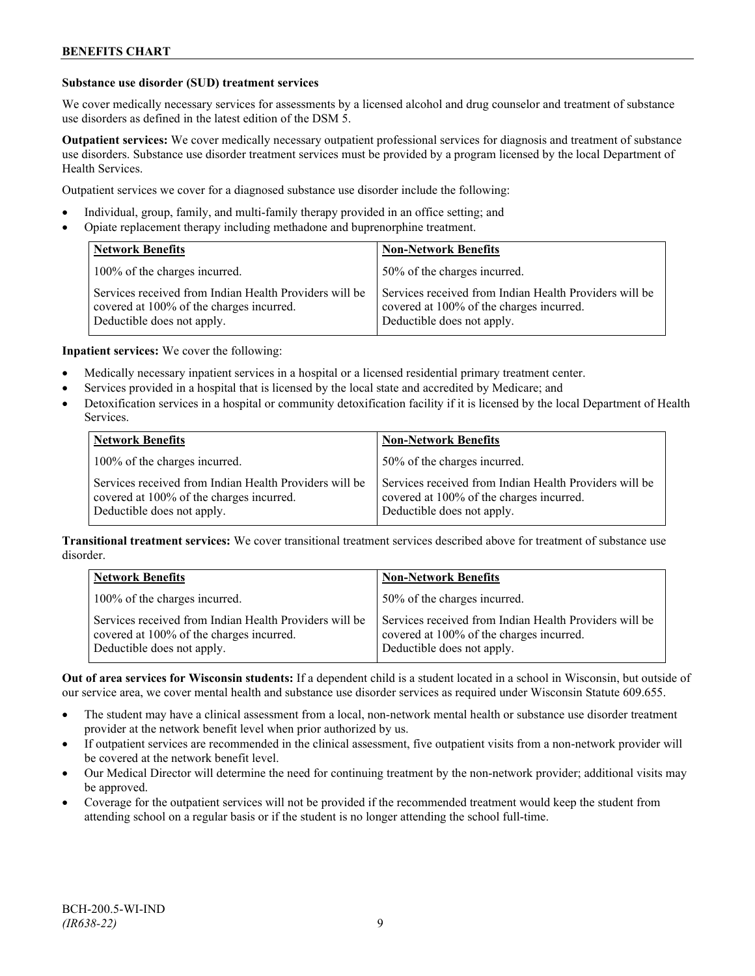#### **Substance use disorder (SUD) treatment services**

We cover medically necessary services for assessments by a licensed alcohol and drug counselor and treatment of substance use disorders as defined in the latest edition of the DSM 5.

**Outpatient services:** We cover medically necessary outpatient professional services for diagnosis and treatment of substance use disorders. Substance use disorder treatment services must be provided by a program licensed by the local Department of Health Services.

Outpatient services we cover for a diagnosed substance use disorder include the following:

- Individual, group, family, and multi-family therapy provided in an office setting; and
- Opiate replacement therapy including methadone and buprenorphine treatment.

| <b>Network Benefits</b>                                                                                                          | <b>Non-Network Benefits</b>                                                                                                      |
|----------------------------------------------------------------------------------------------------------------------------------|----------------------------------------------------------------------------------------------------------------------------------|
| 100% of the charges incurred.                                                                                                    | 50% of the charges incurred.                                                                                                     |
| Services received from Indian Health Providers will be<br>covered at 100% of the charges incurred.<br>Deductible does not apply. | Services received from Indian Health Providers will be<br>covered at 100% of the charges incurred.<br>Deductible does not apply. |

**Inpatient services:** We cover the following:

- Medically necessary inpatient services in a hospital or a licensed residential primary treatment center.
- Services provided in a hospital that is licensed by the local state and accredited by Medicare; and
- Detoxification services in a hospital or community detoxification facility if it is licensed by the local Department of Health Services.

| <b>Network Benefits</b>                                                                                                          | <b>Non-Network Benefits</b>                                                                                                      |
|----------------------------------------------------------------------------------------------------------------------------------|----------------------------------------------------------------------------------------------------------------------------------|
| 100% of the charges incurred.                                                                                                    | 50% of the charges incurred.                                                                                                     |
| Services received from Indian Health Providers will be<br>covered at 100% of the charges incurred.<br>Deductible does not apply. | Services received from Indian Health Providers will be<br>covered at 100% of the charges incurred.<br>Deductible does not apply. |

**Transitional treatment services:** We cover transitional treatment services described above for treatment of substance use disorder.

| Network Benefits                                                                                                                 | <b>Non-Network Benefits</b>                                                                                                      |
|----------------------------------------------------------------------------------------------------------------------------------|----------------------------------------------------------------------------------------------------------------------------------|
| 100% of the charges incurred.                                                                                                    | 50% of the charges incurred.                                                                                                     |
| Services received from Indian Health Providers will be<br>covered at 100% of the charges incurred.<br>Deductible does not apply. | Services received from Indian Health Providers will be<br>covered at 100% of the charges incurred.<br>Deductible does not apply. |

**Out of area services for Wisconsin students:** If a dependent child is a student located in a school in Wisconsin, but outside of our service area, we cover mental health and substance use disorder services as required under Wisconsin Statute 609.655.

- The student may have a clinical assessment from a local, non-network mental health or substance use disorder treatment provider at the network benefit level when prior authorized by us.
- If outpatient services are recommended in the clinical assessment, five outpatient visits from a non-network provider will be covered at the network benefit level.
- Our Medical Director will determine the need for continuing treatment by the non-network provider; additional visits may be approved.
- Coverage for the outpatient services will not be provided if the recommended treatment would keep the student from attending school on a regular basis or if the student is no longer attending the school full-time.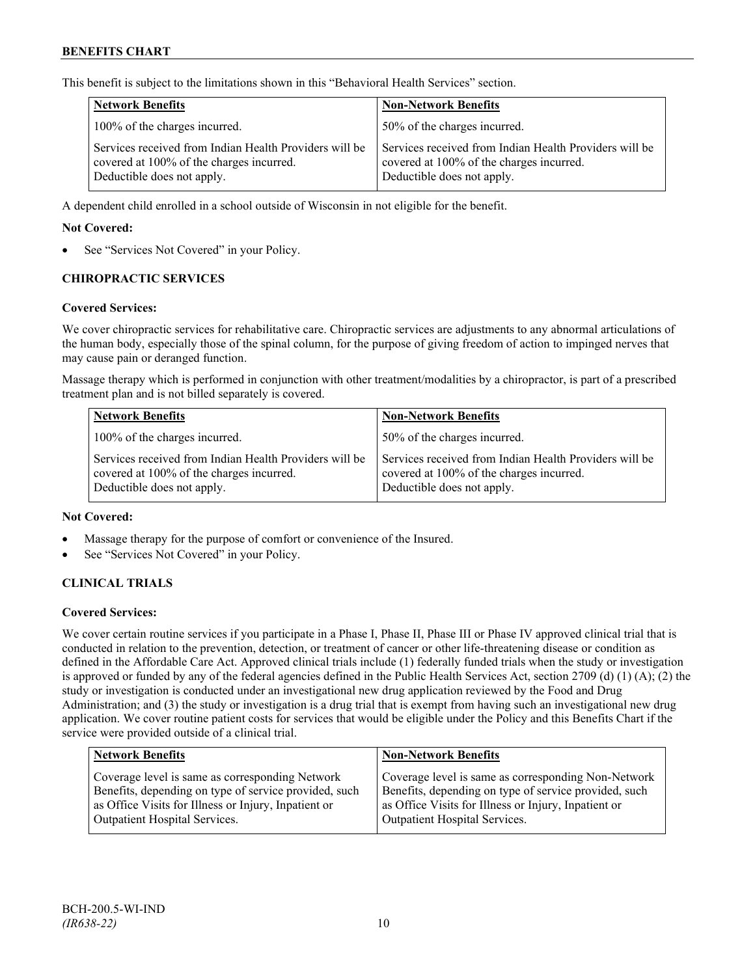This benefit is subject to the limitations shown in this "Behavioral Health Services" section.

| <b>Network Benefits</b>                                                                                                          | <b>Non-Network Benefits</b>                                                                                                      |
|----------------------------------------------------------------------------------------------------------------------------------|----------------------------------------------------------------------------------------------------------------------------------|
| 100% of the charges incurred.                                                                                                    | 50% of the charges incurred.                                                                                                     |
| Services received from Indian Health Providers will be<br>covered at 100% of the charges incurred.<br>Deductible does not apply. | Services received from Indian Health Providers will be<br>covered at 100% of the charges incurred.<br>Deductible does not apply. |

A dependent child enrolled in a school outside of Wisconsin in not eligible for the benefit.

#### **Not Covered:**

See "Services Not Covered" in your Policy.

#### **CHIROPRACTIC SERVICES**

#### **Covered Services:**

We cover chiropractic services for rehabilitative care. Chiropractic services are adjustments to any abnormal articulations of the human body, especially those of the spinal column, for the purpose of giving freedom of action to impinged nerves that may cause pain or deranged function.

Massage therapy which is performed in conjunction with other treatment/modalities by a chiropractor, is part of a prescribed treatment plan and is not billed separately is covered.

| <b>Network Benefits</b>                                                                                                          | <b>Non-Network Benefits</b>                                                                                                      |
|----------------------------------------------------------------------------------------------------------------------------------|----------------------------------------------------------------------------------------------------------------------------------|
| 100% of the charges incurred.                                                                                                    | 50% of the charges incurred.                                                                                                     |
| Services received from Indian Health Providers will be<br>covered at 100% of the charges incurred.<br>Deductible does not apply. | Services received from Indian Health Providers will be<br>covered at 100% of the charges incurred.<br>Deductible does not apply. |

#### **Not Covered:**

- Massage therapy for the purpose of comfort or convenience of the Insured.
- See "Services Not Covered" in your Policy.

#### **CLINICAL TRIALS**

#### **Covered Services:**

We cover certain routine services if you participate in a Phase I, Phase II, Phase III or Phase IV approved clinical trial that is conducted in relation to the prevention, detection, or treatment of cancer or other life-threatening disease or condition as defined in the Affordable Care Act. Approved clinical trials include (1) federally funded trials when the study or investigation is approved or funded by any of the federal agencies defined in the Public Health Services Act, section 2709 (d) (1) (A); (2) the study or investigation is conducted under an investigational new drug application reviewed by the Food and Drug Administration; and (3) the study or investigation is a drug trial that is exempt from having such an investigational new drug application. We cover routine patient costs for services that would be eligible under the Policy and this Benefits Chart if the service were provided outside of a clinical trial.

| <b>Network Benefits</b>                               | <b>Non-Network Benefits</b>                           |
|-------------------------------------------------------|-------------------------------------------------------|
| Coverage level is same as corresponding Network       | Coverage level is same as corresponding Non-Network   |
| Benefits, depending on type of service provided, such | Benefits, depending on type of service provided, such |
| as Office Visits for Illness or Injury, Inpatient or  | as Office Visits for Illness or Injury, Inpatient or  |
| <b>Outpatient Hospital Services.</b>                  | Outpatient Hospital Services.                         |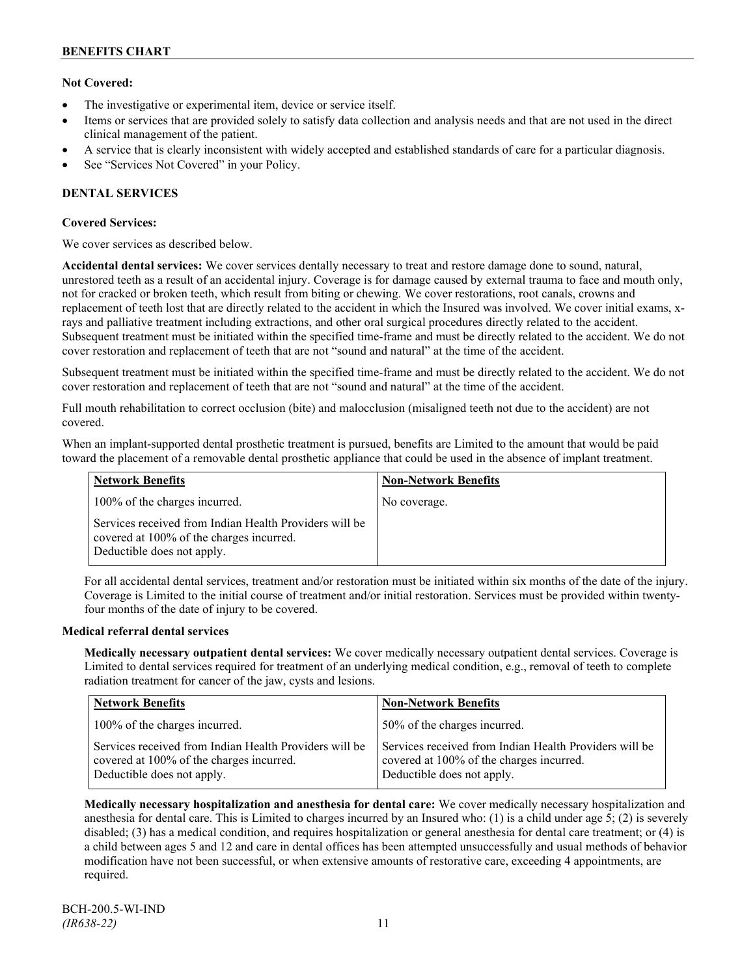## **Not Covered:**

- The investigative or experimental item, device or service itself.
- Items or services that are provided solely to satisfy data collection and analysis needs and that are not used in the direct clinical management of the patient.
- A service that is clearly inconsistent with widely accepted and established standards of care for a particular diagnosis.
- See "Services Not Covered" in your Policy.

## **DENTAL SERVICES**

#### **Covered Services:**

We cover services as described below.

**Accidental dental services:** We cover services dentally necessary to treat and restore damage done to sound, natural, unrestored teeth as a result of an accidental injury. Coverage is for damage caused by external trauma to face and mouth only, not for cracked or broken teeth, which result from biting or chewing. We cover restorations, root canals, crowns and replacement of teeth lost that are directly related to the accident in which the Insured was involved. We cover initial exams, xrays and palliative treatment including extractions, and other oral surgical procedures directly related to the accident. Subsequent treatment must be initiated within the specified time-frame and must be directly related to the accident. We do not cover restoration and replacement of teeth that are not "sound and natural" at the time of the accident.

Subsequent treatment must be initiated within the specified time-frame and must be directly related to the accident. We do not cover restoration and replacement of teeth that are not "sound and natural" at the time of the accident.

Full mouth rehabilitation to correct occlusion (bite) and malocclusion (misaligned teeth not due to the accident) are not covered.

When an implant-supported dental prosthetic treatment is pursued, benefits are Limited to the amount that would be paid toward the placement of a removable dental prosthetic appliance that could be used in the absence of implant treatment.

| <b>Network Benefits</b>                                                                                                          | <b>Non-Network Benefits</b> |
|----------------------------------------------------------------------------------------------------------------------------------|-----------------------------|
| 100% of the charges incurred.                                                                                                    | No coverage.                |
| Services received from Indian Health Providers will be<br>covered at 100% of the charges incurred.<br>Deductible does not apply. |                             |

For all accidental dental services, treatment and/or restoration must be initiated within six months of the date of the injury. Coverage is Limited to the initial course of treatment and/or initial restoration. Services must be provided within twentyfour months of the date of injury to be covered.

#### **Medical referral dental services**

**Medically necessary outpatient dental services:** We cover medically necessary outpatient dental services. Coverage is Limited to dental services required for treatment of an underlying medical condition, e.g., removal of teeth to complete radiation treatment for cancer of the jaw, cysts and lesions.

| <b>Network Benefits</b>                                                                                                          | <b>Non-Network Benefits</b>                                                                                                      |
|----------------------------------------------------------------------------------------------------------------------------------|----------------------------------------------------------------------------------------------------------------------------------|
| 100% of the charges incurred.                                                                                                    | 50% of the charges incurred.                                                                                                     |
| Services received from Indian Health Providers will be<br>covered at 100% of the charges incurred.<br>Deductible does not apply. | Services received from Indian Health Providers will be<br>covered at 100% of the charges incurred.<br>Deductible does not apply. |

**Medically necessary hospitalization and anesthesia for dental care:** We cover medically necessary hospitalization and anesthesia for dental care. This is Limited to charges incurred by an Insured who: (1) is a child under age 5; (2) is severely disabled; (3) has a medical condition, and requires hospitalization or general anesthesia for dental care treatment; or (4) is a child between ages 5 and 12 and care in dental offices has been attempted unsuccessfully and usual methods of behavior modification have not been successful, or when extensive amounts of restorative care, exceeding 4 appointments, are required.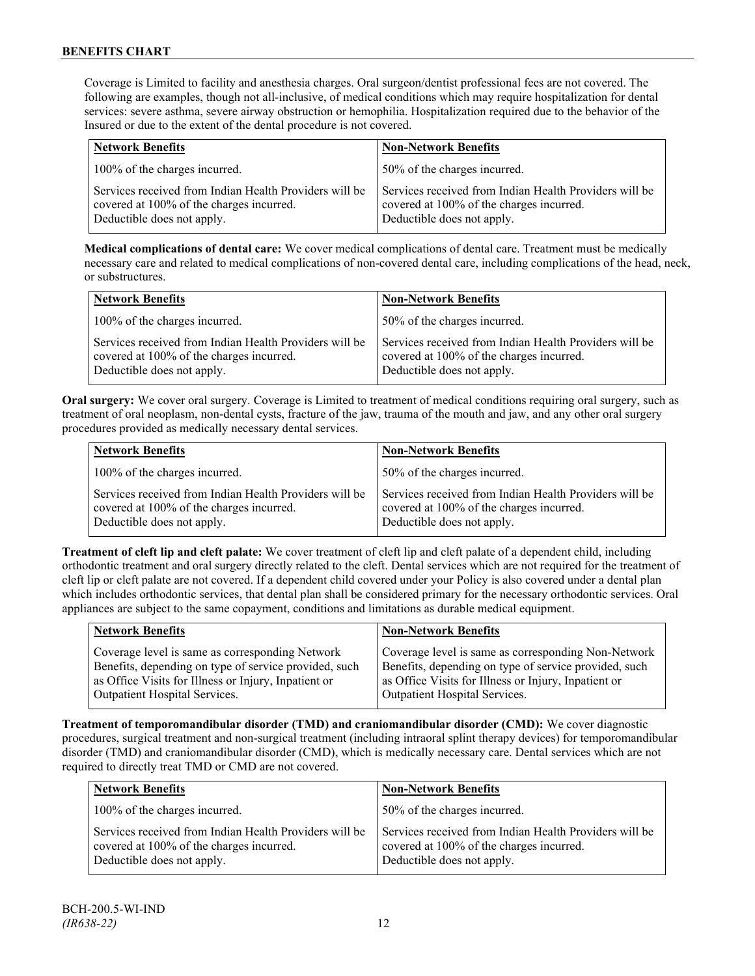Coverage is Limited to facility and anesthesia charges. Oral surgeon/dentist professional fees are not covered. The following are examples, though not all-inclusive, of medical conditions which may require hospitalization for dental services: severe asthma, severe airway obstruction or hemophilia. Hospitalization required due to the behavior of the Insured or due to the extent of the dental procedure is not covered.

| <b>Network Benefits</b>                                                                                                          | <b>Non-Network Benefits</b>                                                                                                      |
|----------------------------------------------------------------------------------------------------------------------------------|----------------------------------------------------------------------------------------------------------------------------------|
| 100% of the charges incurred.                                                                                                    | 50% of the charges incurred.                                                                                                     |
| Services received from Indian Health Providers will be<br>covered at 100% of the charges incurred.<br>Deductible does not apply. | Services received from Indian Health Providers will be<br>covered at 100% of the charges incurred.<br>Deductible does not apply. |

**Medical complications of dental care:** We cover medical complications of dental care. Treatment must be medically necessary care and related to medical complications of non-covered dental care, including complications of the head, neck, or substructures.

| <b>Network Benefits</b>                                                                                                          | <b>Non-Network Benefits</b>                                                                                                      |
|----------------------------------------------------------------------------------------------------------------------------------|----------------------------------------------------------------------------------------------------------------------------------|
| 100% of the charges incurred.                                                                                                    | 50% of the charges incurred.                                                                                                     |
| Services received from Indian Health Providers will be<br>covered at 100% of the charges incurred.<br>Deductible does not apply. | Services received from Indian Health Providers will be<br>covered at 100% of the charges incurred.<br>Deductible does not apply. |

**Oral surgery:** We cover oral surgery. Coverage is Limited to treatment of medical conditions requiring oral surgery, such as treatment of oral neoplasm, non-dental cysts, fracture of the jaw, trauma of the mouth and jaw, and any other oral surgery procedures provided as medically necessary dental services.

| <b>Network Benefits</b>                                                                                                          | <b>Non-Network Benefits</b>                                                                                                      |  |
|----------------------------------------------------------------------------------------------------------------------------------|----------------------------------------------------------------------------------------------------------------------------------|--|
| 100% of the charges incurred.                                                                                                    | 50% of the charges incurred.                                                                                                     |  |
| Services received from Indian Health Providers will be<br>covered at 100% of the charges incurred.<br>Deductible does not apply. | Services received from Indian Health Providers will be<br>covered at 100% of the charges incurred.<br>Deductible does not apply. |  |

**Treatment of cleft lip and cleft palate:** We cover treatment of cleft lip and cleft palate of a dependent child, including orthodontic treatment and oral surgery directly related to the cleft. Dental services which are not required for the treatment of cleft lip or cleft palate are not covered. If a dependent child covered under your Policy is also covered under a dental plan which includes orthodontic services, that dental plan shall be considered primary for the necessary orthodontic services. Oral appliances are subject to the same copayment, conditions and limitations as durable medical equipment.

| <b>Network Benefits</b>                                                                                                                                                                           | <b>Non-Network Benefits</b>                                                                                                                                                                           |  |
|---------------------------------------------------------------------------------------------------------------------------------------------------------------------------------------------------|-------------------------------------------------------------------------------------------------------------------------------------------------------------------------------------------------------|--|
| Coverage level is same as corresponding Network<br>Benefits, depending on type of service provided, such<br>as Office Visits for Illness or Injury, Inpatient or<br>Outpatient Hospital Services. | Coverage level is same as corresponding Non-Network<br>Benefits, depending on type of service provided, such<br>as Office Visits for Illness or Injury, Inpatient or<br>Outpatient Hospital Services. |  |
|                                                                                                                                                                                                   |                                                                                                                                                                                                       |  |

**Treatment of temporomandibular disorder (TMD) and craniomandibular disorder (CMD):** We cover diagnostic procedures, surgical treatment and non-surgical treatment (including intraoral splint therapy devices) for temporomandibular disorder (TMD) and craniomandibular disorder (CMD), which is medically necessary care. Dental services which are not required to directly treat TMD or CMD are not covered.

| <b>Network Benefits</b>                                                                                                          | <b>Non-Network Benefits</b>                                                                                                      |  |
|----------------------------------------------------------------------------------------------------------------------------------|----------------------------------------------------------------------------------------------------------------------------------|--|
| 100% of the charges incurred.                                                                                                    | 50% of the charges incurred.                                                                                                     |  |
| Services received from Indian Health Providers will be<br>covered at 100% of the charges incurred.<br>Deductible does not apply. | Services received from Indian Health Providers will be<br>covered at 100% of the charges incurred.<br>Deductible does not apply. |  |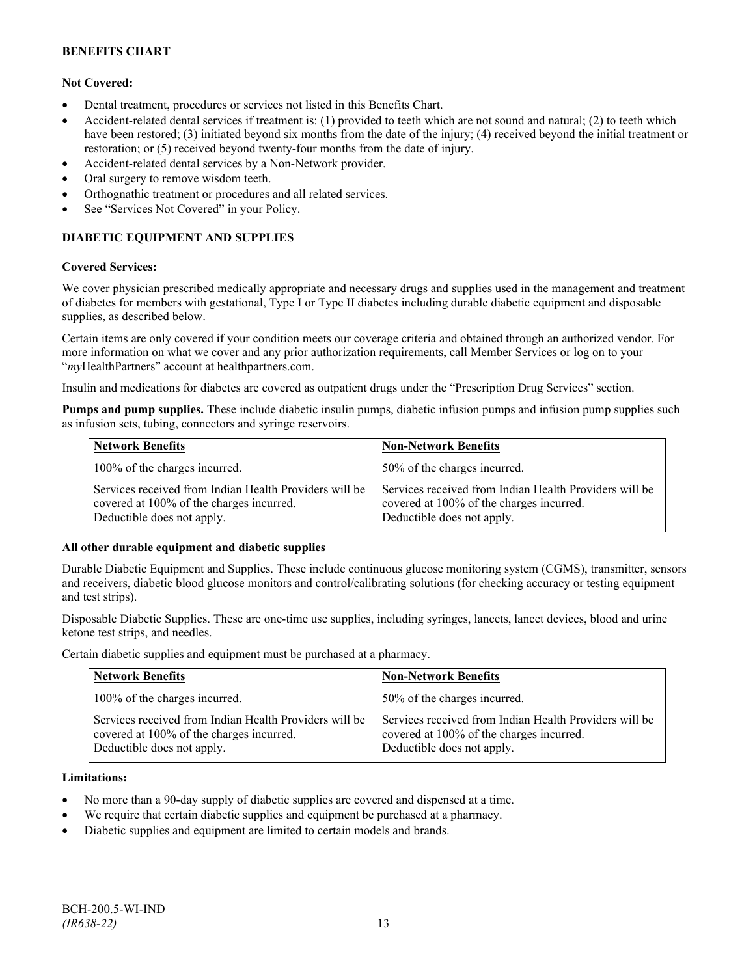## **Not Covered:**

- Dental treatment, procedures or services not listed in this Benefits Chart.
- Accident-related dental services if treatment is: (1) provided to teeth which are not sound and natural; (2) to teeth which have been restored; (3) initiated beyond six months from the date of the injury; (4) received beyond the initial treatment or restoration; or (5) received beyond twenty-four months from the date of injury.
- Accident-related dental services by a Non-Network provider.
- Oral surgery to remove wisdom teeth.
- Orthognathic treatment or procedures and all related services.
- See "Services Not Covered" in your Policy.

## **DIABETIC EQUIPMENT AND SUPPLIES**

#### **Covered Services:**

We cover physician prescribed medically appropriate and necessary drugs and supplies used in the management and treatment of diabetes for members with gestational, Type I or Type II diabetes including durable diabetic equipment and disposable supplies, as described below.

Certain items are only covered if your condition meets our coverage criteria and obtained through an authorized vendor. For more information on what we cover and any prior authorization requirements, call Member Services or log on to your "*my*HealthPartners" account at [healthpartners.com.](http://www.healthpartners.com/)

Insulin and medications for diabetes are covered as outpatient drugs under the "Prescription Drug Services" section.

**Pumps and pump supplies.** These include diabetic insulin pumps, diabetic infusion pumps and infusion pump supplies such as infusion sets, tubing, connectors and syringe reservoirs.

| <b>Network Benefits</b>                                                                                                          | <b>Non-Network Benefits</b>                                                                                                      |  |
|----------------------------------------------------------------------------------------------------------------------------------|----------------------------------------------------------------------------------------------------------------------------------|--|
| 100% of the charges incurred.                                                                                                    | 50% of the charges incurred.                                                                                                     |  |
| Services received from Indian Health Providers will be<br>covered at 100% of the charges incurred.<br>Deductible does not apply. | Services received from Indian Health Providers will be<br>covered at 100% of the charges incurred.<br>Deductible does not apply. |  |

#### **All other durable equipment and diabetic supplies**

Durable Diabetic Equipment and Supplies. These include continuous glucose monitoring system (CGMS), transmitter, sensors and receivers, diabetic blood glucose monitors and control/calibrating solutions (for checking accuracy or testing equipment and test strips).

Disposable Diabetic Supplies. These are one-time use supplies, including syringes, lancets, lancet devices, blood and urine ketone test strips, and needles.

Certain diabetic supplies and equipment must be purchased at a pharmacy.

| <b>Network Benefits</b>                                                                                                          | <b>Non-Network Benefits</b>                                                                                                      |  |
|----------------------------------------------------------------------------------------------------------------------------------|----------------------------------------------------------------------------------------------------------------------------------|--|
| 100% of the charges incurred.                                                                                                    | 50% of the charges incurred.                                                                                                     |  |
| Services received from Indian Health Providers will be<br>covered at 100% of the charges incurred.<br>Deductible does not apply. | Services received from Indian Health Providers will be<br>covered at 100% of the charges incurred.<br>Deductible does not apply. |  |

#### **Limitations:**

- No more than a 90-day supply of diabetic supplies are covered and dispensed at a time.
- We require that certain diabetic supplies and equipment be purchased at a pharmacy.
- Diabetic supplies and equipment are limited to certain models and brands.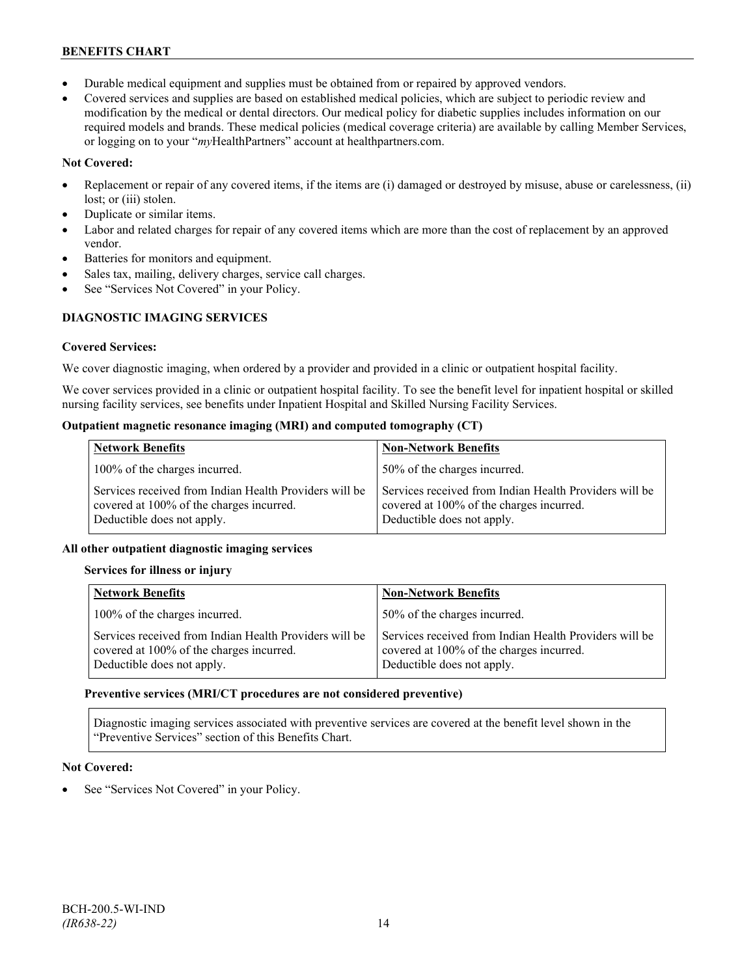- Durable medical equipment and supplies must be obtained from or repaired by approved vendors.
- Covered services and supplies are based on established medical policies, which are subject to periodic review and modification by the medical or dental directors. Our medical policy for diabetic supplies includes information on our required models and brands. These medical policies (medical coverage criteria) are available by calling Member Services, or logging on to your "*my*HealthPartners" account at healthpartners.com.

## **Not Covered:**

- Replacement or repair of any covered items, if the items are (i) damaged or destroyed by misuse, abuse or carelessness, (ii) lost; or (iii) stolen.
- Duplicate or similar items.
- Labor and related charges for repair of any covered items which are more than the cost of replacement by an approved vendor.
- Batteries for monitors and equipment.
- Sales tax, mailing, delivery charges, service call charges.
- See "Services Not Covered" in your Policy.

## **DIAGNOSTIC IMAGING SERVICES**

#### **Covered Services:**

We cover diagnostic imaging, when ordered by a provider and provided in a clinic or outpatient hospital facility.

We cover services provided in a clinic or outpatient hospital facility. To see the benefit level for inpatient hospital or skilled nursing facility services, see benefits under Inpatient Hospital and Skilled Nursing Facility Services.

### **Outpatient magnetic resonance imaging (MRI) and computed tomography (CT)**

| <b>Network Benefits</b>                                                                                                          | <b>Non-Network Benefits</b>                                                                                                      |  |
|----------------------------------------------------------------------------------------------------------------------------------|----------------------------------------------------------------------------------------------------------------------------------|--|
| 100% of the charges incurred.                                                                                                    | 50% of the charges incurred.                                                                                                     |  |
| Services received from Indian Health Providers will be<br>covered at 100% of the charges incurred.<br>Deductible does not apply. | Services received from Indian Health Providers will be<br>covered at 100% of the charges incurred.<br>Deductible does not apply. |  |

#### **All other outpatient diagnostic imaging services**

#### **Services for illness or injury**

| <b>Network Benefits</b>                                                                                                          | <b>Non-Network Benefits</b>                                                                                                      |  |
|----------------------------------------------------------------------------------------------------------------------------------|----------------------------------------------------------------------------------------------------------------------------------|--|
| 100% of the charges incurred.                                                                                                    | 50% of the charges incurred.                                                                                                     |  |
| Services received from Indian Health Providers will be<br>covered at 100% of the charges incurred.<br>Deductible does not apply. | Services received from Indian Health Providers will be<br>covered at 100% of the charges incurred.<br>Deductible does not apply. |  |

#### **Preventive services (MRI/CT procedures are not considered preventive)**

Diagnostic imaging services associated with preventive services are covered at the benefit level shown in the "Preventive Services" section of this Benefits Chart.

#### **Not Covered:**

See "Services Not Covered" in your Policy.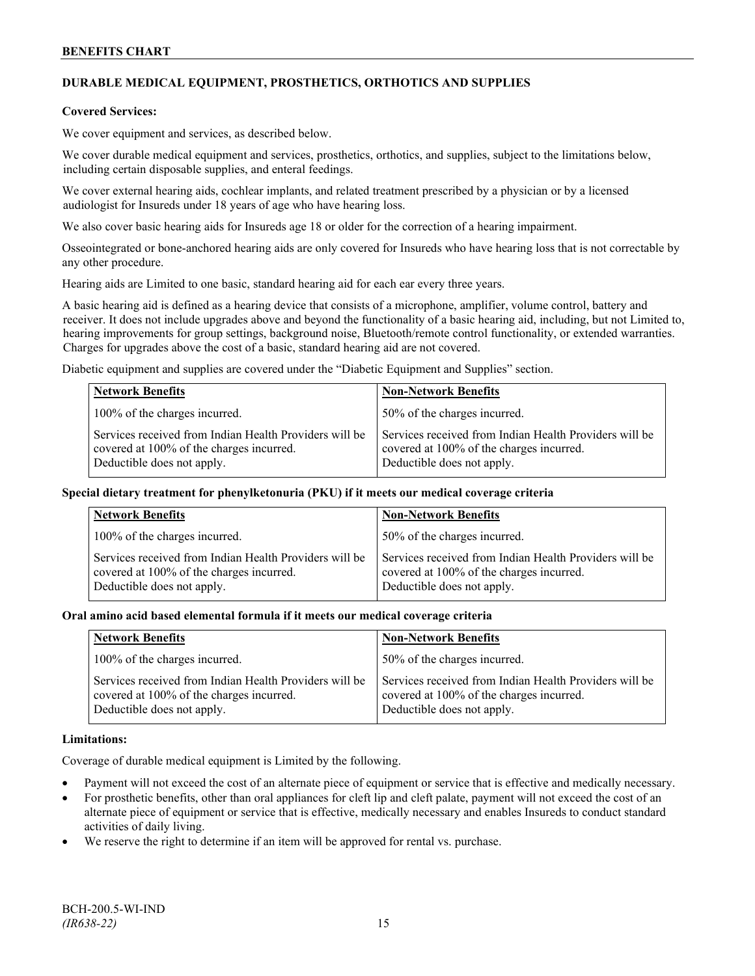## **DURABLE MEDICAL EQUIPMENT, PROSTHETICS, ORTHOTICS AND SUPPLIES**

#### **Covered Services:**

We cover equipment and services, as described below.

We cover durable medical equipment and services, prosthetics, orthotics, and supplies, subject to the limitations below, including certain disposable supplies, and enteral feedings.

We cover external hearing aids, cochlear implants, and related treatment prescribed by a physician or by a licensed audiologist for Insureds under 18 years of age who have hearing loss.

We also cover basic hearing aids for Insureds age 18 or older for the correction of a hearing impairment.

Osseointegrated or bone-anchored hearing aids are only covered for Insureds who have hearing loss that is not correctable by any other procedure.

Hearing aids are Limited to one basic, standard hearing aid for each ear every three years.

A basic hearing aid is defined as a hearing device that consists of a microphone, amplifier, volume control, battery and receiver. It does not include upgrades above and beyond the functionality of a basic hearing aid, including, but not Limited to, hearing improvements for group settings, background noise, Bluetooth/remote control functionality, or extended warranties. Charges for upgrades above the cost of a basic, standard hearing aid are not covered.

Diabetic equipment and supplies are covered under the "Diabetic Equipment and Supplies" section.

| <b>Network Benefits</b>                                                                                                          | <b>Non-Network Benefits</b>                                                                                                      |  |
|----------------------------------------------------------------------------------------------------------------------------------|----------------------------------------------------------------------------------------------------------------------------------|--|
| 100% of the charges incurred.                                                                                                    | 50% of the charges incurred.                                                                                                     |  |
| Services received from Indian Health Providers will be<br>covered at 100% of the charges incurred.<br>Deductible does not apply. | Services received from Indian Health Providers will be<br>covered at 100% of the charges incurred.<br>Deductible does not apply. |  |

#### **Special dietary treatment for phenylketonuria (PKU) if it meets our medical coverage criteria**

| <b>Network Benefits</b>                                                                                                          | <b>Non-Network Benefits</b>                                                                                                      |  |
|----------------------------------------------------------------------------------------------------------------------------------|----------------------------------------------------------------------------------------------------------------------------------|--|
| 100% of the charges incurred.                                                                                                    | 50% of the charges incurred.                                                                                                     |  |
| Services received from Indian Health Providers will be<br>covered at 100% of the charges incurred.<br>Deductible does not apply. | Services received from Indian Health Providers will be<br>covered at 100% of the charges incurred.<br>Deductible does not apply. |  |

#### **Oral amino acid based elemental formula if it meets our medical coverage criteria**

| <b>Network Benefits</b>                                                                                                          | <b>Non-Network Benefits</b>                                                                                                      |  |
|----------------------------------------------------------------------------------------------------------------------------------|----------------------------------------------------------------------------------------------------------------------------------|--|
| 100% of the charges incurred.                                                                                                    | 50% of the charges incurred.                                                                                                     |  |
| Services received from Indian Health Providers will be<br>covered at 100% of the charges incurred.<br>Deductible does not apply. | Services received from Indian Health Providers will be<br>covered at 100% of the charges incurred.<br>Deductible does not apply. |  |

#### **Limitations:**

Coverage of durable medical equipment is Limited by the following.

- Payment will not exceed the cost of an alternate piece of equipment or service that is effective and medically necessary.
- For prosthetic benefits, other than oral appliances for cleft lip and cleft palate, payment will not exceed the cost of an alternate piece of equipment or service that is effective, medically necessary and enables Insureds to conduct standard activities of daily living.
- We reserve the right to determine if an item will be approved for rental vs. purchase.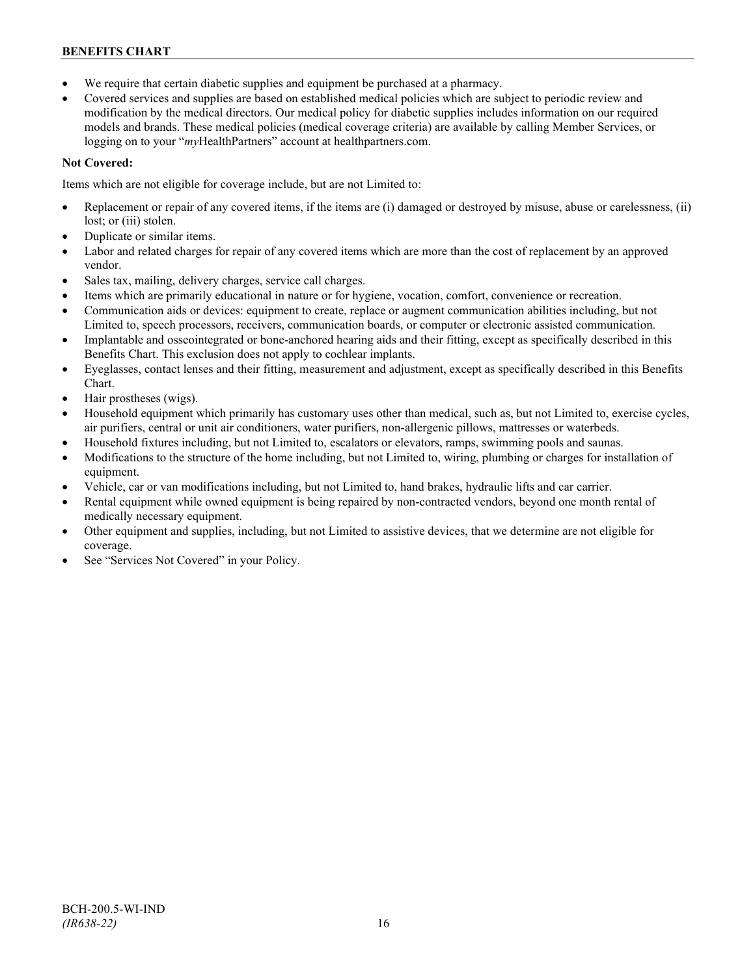- We require that certain diabetic supplies and equipment be purchased at a pharmacy.
- Covered services and supplies are based on established medical policies which are subject to periodic review and modification by the medical directors. Our medical policy for diabetic supplies includes information on our required models and brands. These medical policies (medical coverage criteria) are available by calling Member Services, or logging on to your "*my*HealthPartners" account at [healthpartners.com.](http://www.healthpartners.com/)

## **Not Covered:**

Items which are not eligible for coverage include, but are not Limited to:

- Replacement or repair of any covered items, if the items are (i) damaged or destroyed by misuse, abuse or carelessness, (ii) lost; or (iii) stolen.
- Duplicate or similar items.
- Labor and related charges for repair of any covered items which are more than the cost of replacement by an approved vendor.
- Sales tax, mailing, delivery charges, service call charges.
- Items which are primarily educational in nature or for hygiene, vocation, comfort, convenience or recreation.
- Communication aids or devices: equipment to create, replace or augment communication abilities including, but not Limited to, speech processors, receivers, communication boards, or computer or electronic assisted communication.
- Implantable and osseointegrated or bone-anchored hearing aids and their fitting, except as specifically described in this Benefits Chart. This exclusion does not apply to cochlear implants.
- Eyeglasses, contact lenses and their fitting, measurement and adjustment, except as specifically described in this Benefits Chart.
- Hair prostheses (wigs).
- Household equipment which primarily has customary uses other than medical, such as, but not Limited to, exercise cycles, air purifiers, central or unit air conditioners, water purifiers, non-allergenic pillows, mattresses or waterbeds.
- Household fixtures including, but not Limited to, escalators or elevators, ramps, swimming pools and saunas.
- Modifications to the structure of the home including, but not Limited to, wiring, plumbing or charges for installation of equipment.
- Vehicle, car or van modifications including, but not Limited to, hand brakes, hydraulic lifts and car carrier.
- Rental equipment while owned equipment is being repaired by non-contracted vendors, beyond one month rental of medically necessary equipment.
- Other equipment and supplies, including, but not Limited to assistive devices, that we determine are not eligible for coverage.
- See "Services Not Covered" in your Policy.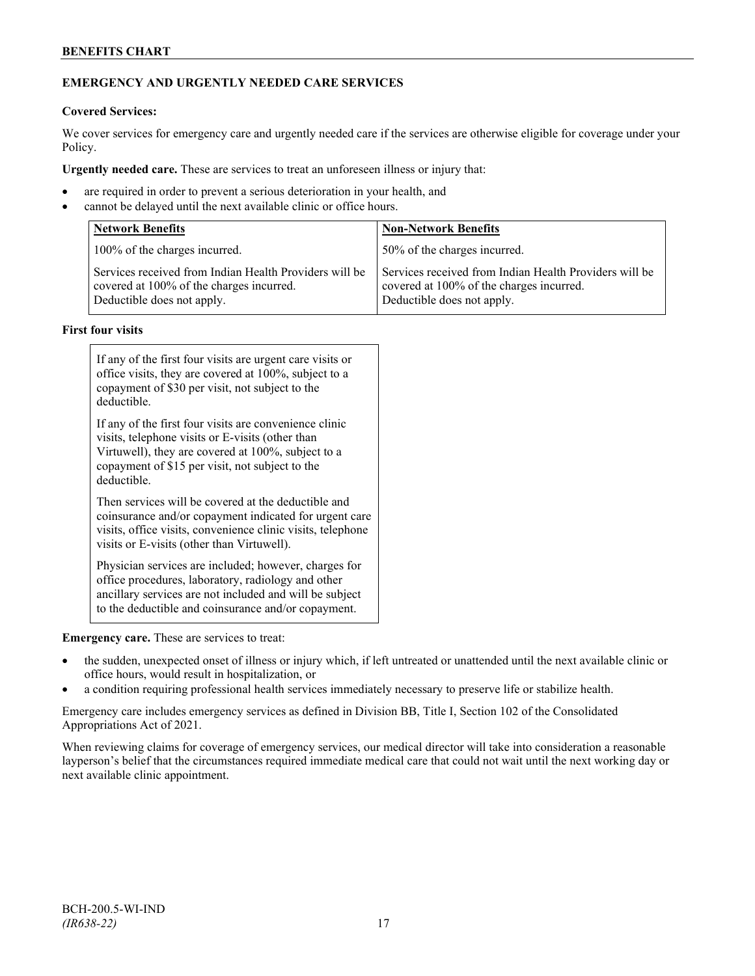## **EMERGENCY AND URGENTLY NEEDED CARE SERVICES**

#### **Covered Services:**

We cover services for emergency care and urgently needed care if the services are otherwise eligible for coverage under your Policy.

**Urgently needed care.** These are services to treat an unforeseen illness or injury that:

- are required in order to prevent a serious deterioration in your health, and
- cannot be delayed until the next available clinic or office hours.

| <b>Network Benefits</b>                                                                                                          | <b>Non-Network Benefits</b>                                                                                                      |  |
|----------------------------------------------------------------------------------------------------------------------------------|----------------------------------------------------------------------------------------------------------------------------------|--|
| 100% of the charges incurred.                                                                                                    | 50% of the charges incurred.                                                                                                     |  |
| Services received from Indian Health Providers will be<br>covered at 100% of the charges incurred.<br>Deductible does not apply. | Services received from Indian Health Providers will be<br>covered at 100% of the charges incurred.<br>Deductible does not apply. |  |

#### **First four visits**

| If any of the first four visits are urgent care visits or<br>office visits, they are covered at 100%, subject to a<br>copayment of \$30 per visit, not subject to the<br>deductible.                                               |  |
|------------------------------------------------------------------------------------------------------------------------------------------------------------------------------------------------------------------------------------|--|
| If any of the first four visits are convenience clinic<br>visits, telephone visits or E-visits (other than<br>Virtuwell), they are covered at 100%, subject to a<br>copayment of \$15 per visit, not subject to the<br>deductible. |  |
| Then services will be covered at the deductible and<br>coinsurance and/or copayment indicated for urgent care<br>visits, office visits, convenience clinic visits, telephone<br>visits or E-visits (other than Virtuwell).         |  |
| Physician services are included; however, charges for<br>office procedures, laboratory, radiology and other<br>ancillary services are not included and will be subject<br>to the deductible and coinsurance and/or copayment.      |  |

**Emergency care.** These are services to treat:

- the sudden, unexpected onset of illness or injury which, if left untreated or unattended until the next available clinic or office hours, would result in hospitalization, or
- a condition requiring professional health services immediately necessary to preserve life or stabilize health.

Emergency care includes emergency services as defined in Division BB, Title I, Section 102 of the Consolidated Appropriations Act of 2021.

When reviewing claims for coverage of emergency services, our medical director will take into consideration a reasonable layperson's belief that the circumstances required immediate medical care that could not wait until the next working day or next available clinic appointment.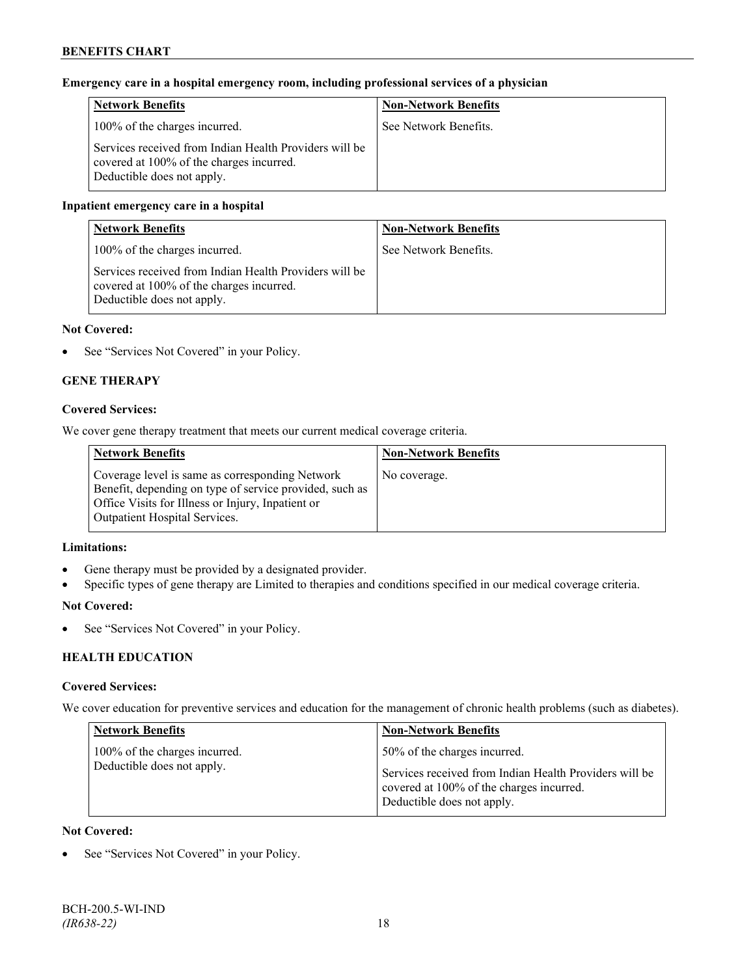## **Emergency care in a hospital emergency room, including professional services of a physician**

| <b>Network Benefits</b>                                                                                                          | <b>Non-Network Benefits</b> |
|----------------------------------------------------------------------------------------------------------------------------------|-----------------------------|
| 100% of the charges incurred.                                                                                                    | See Network Benefits.       |
| Services received from Indian Health Providers will be<br>covered at 100% of the charges incurred.<br>Deductible does not apply. |                             |

### **Inpatient emergency care in a hospital**

| <b>Network Benefits</b>                                                                                                          | <b>Non-Network Benefits</b> |
|----------------------------------------------------------------------------------------------------------------------------------|-----------------------------|
| 100% of the charges incurred.                                                                                                    | See Network Benefits.       |
| Services received from Indian Health Providers will be<br>covered at 100% of the charges incurred.<br>Deductible does not apply. |                             |

#### **Not Covered:**

• See "Services Not Covered" in your Policy.

## **GENE THERAPY**

#### **Covered Services:**

We cover gene therapy treatment that meets our current medical coverage criteria.

| <b>Network Benefits</b>                                                                                                                                                                          | <b>Non-Network Benefits</b> |
|--------------------------------------------------------------------------------------------------------------------------------------------------------------------------------------------------|-----------------------------|
| Coverage level is same as corresponding Network<br>Benefit, depending on type of service provided, such as<br>Office Visits for Illness or Injury, Inpatient or<br>Outpatient Hospital Services. | No coverage.                |

#### **Limitations:**

- Gene therapy must be provided by a designated provider.
- Specific types of gene therapy are Limited to therapies and conditions specified in our medical coverage criteria.

#### **Not Covered:**

• See "Services Not Covered" in your Policy.

## **HEALTH EDUCATION**

#### **Covered Services:**

We cover education for preventive services and education for the management of chronic health problems (such as diabetes).

| <b>Network Benefits</b>                                     | <b>Non-Network Benefits</b>                                                                                                                                      |
|-------------------------------------------------------------|------------------------------------------------------------------------------------------------------------------------------------------------------------------|
| 100% of the charges incurred.<br>Deductible does not apply. | 50% of the charges incurred.<br>Services received from Indian Health Providers will be<br>covered at 100% of the charges incurred.<br>Deductible does not apply. |

#### **Not Covered:**

See "Services Not Covered" in your Policy.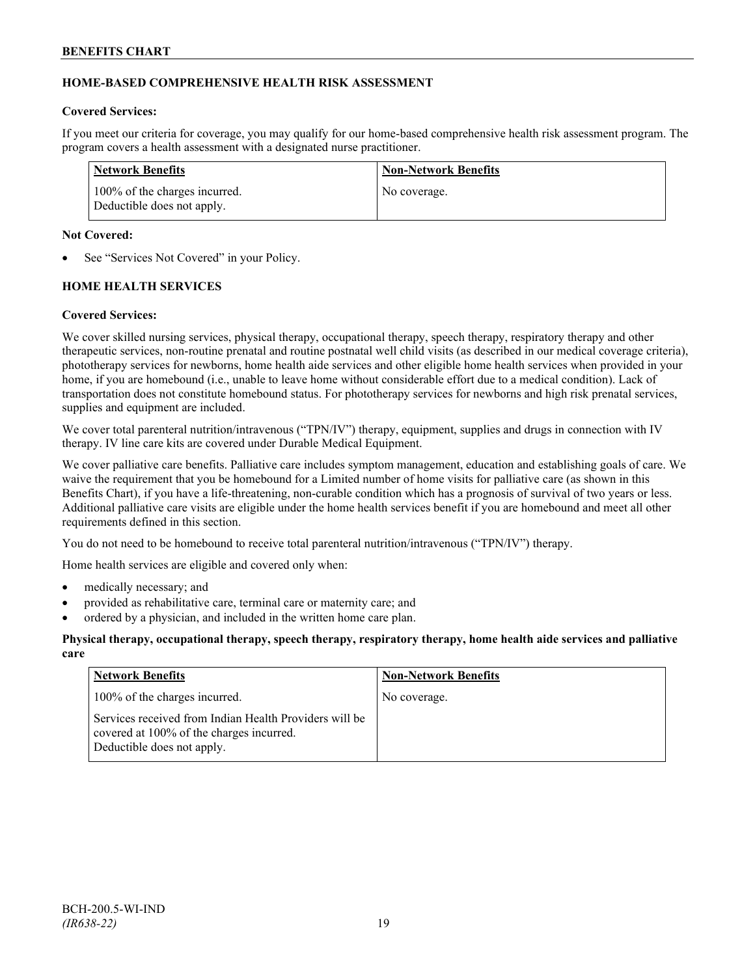## **HOME-BASED COMPREHENSIVE HEALTH RISK ASSESSMENT**

#### **Covered Services:**

If you meet our criteria for coverage, you may qualify for our home-based comprehensive health risk assessment program. The program covers a health assessment with a designated nurse practitioner.

| Network Benefits                                            | <b>Non-Network Benefits</b> |
|-------------------------------------------------------------|-----------------------------|
| 100% of the charges incurred.<br>Deductible does not apply. | No coverage.                |

#### **Not Covered:**

See "Services Not Covered" in your Policy.

#### **HOME HEALTH SERVICES**

#### **Covered Services:**

We cover skilled nursing services, physical therapy, occupational therapy, speech therapy, respiratory therapy and other therapeutic services, non-routine prenatal and routine postnatal well child visits (as described in our medical coverage criteria), phototherapy services for newborns, home health aide services and other eligible home health services when provided in your home, if you are homebound (i.e., unable to leave home without considerable effort due to a medical condition). Lack of transportation does not constitute homebound status. For phototherapy services for newborns and high risk prenatal services, supplies and equipment are included.

We cover total parenteral nutrition/intravenous ("TPN/IV") therapy, equipment, supplies and drugs in connection with IV therapy. IV line care kits are covered under Durable Medical Equipment.

We cover palliative care benefits. Palliative care includes symptom management, education and establishing goals of care. We waive the requirement that you be homebound for a Limited number of home visits for palliative care (as shown in this Benefits Chart), if you have a life-threatening, non-curable condition which has a prognosis of survival of two years or less. Additional palliative care visits are eligible under the home health services benefit if you are homebound and meet all other requirements defined in this section.

You do not need to be homebound to receive total parenteral nutrition/intravenous ("TPN/IV") therapy.

Home health services are eligible and covered only when:

- medically necessary; and
- provided as rehabilitative care, terminal care or maternity care; and
- ordered by a physician, and included in the written home care plan.

#### **Physical therapy, occupational therapy, speech therapy, respiratory therapy, home health aide services and palliative care**

| <b>Network Benefits</b>                                                                                                          | <b>Non-Network Benefits</b> |
|----------------------------------------------------------------------------------------------------------------------------------|-----------------------------|
| 100% of the charges incurred.                                                                                                    | No coverage.                |
| Services received from Indian Health Providers will be<br>covered at 100% of the charges incurred.<br>Deductible does not apply. |                             |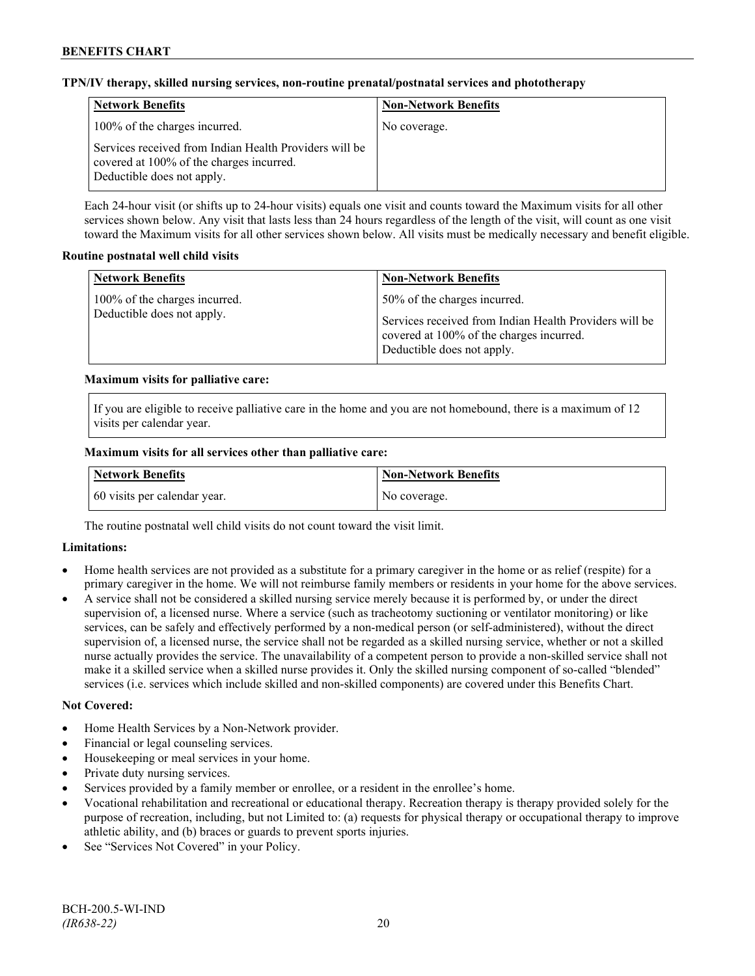#### **TPN/IV therapy, skilled nursing services, non-routine prenatal/postnatal services and phototherapy**

| <b>Network Benefits</b>                                                                                                          | <b>Non-Network Benefits</b> |
|----------------------------------------------------------------------------------------------------------------------------------|-----------------------------|
| 100% of the charges incurred.                                                                                                    | No coverage.                |
| Services received from Indian Health Providers will be<br>covered at 100% of the charges incurred.<br>Deductible does not apply. |                             |

Each 24-hour visit (or shifts up to 24-hour visits) equals one visit and counts toward the Maximum visits for all other services shown below. Any visit that lasts less than 24 hours regardless of the length of the visit, will count as one visit toward the Maximum visits for all other services shown below. All visits must be medically necessary and benefit eligible.

#### **Routine postnatal well child visits**

| <b>Network Benefits</b>                                     | <b>Non-Network Benefits</b>                                                                                                                                      |
|-------------------------------------------------------------|------------------------------------------------------------------------------------------------------------------------------------------------------------------|
| 100% of the charges incurred.<br>Deductible does not apply. | 50% of the charges incurred.<br>Services received from Indian Health Providers will be<br>covered at 100% of the charges incurred.<br>Deductible does not apply. |

## **Maximum visits for palliative care:**

If you are eligible to receive palliative care in the home and you are not homebound, there is a maximum of 12 visits per calendar year.

#### **Maximum visits for all services other than palliative care:**

| Network Benefits             | Non-Network Benefits |
|------------------------------|----------------------|
| 60 visits per calendar year. | No coverage.         |

The routine postnatal well child visits do not count toward the visit limit.

#### **Limitations:**

- Home health services are not provided as a substitute for a primary caregiver in the home or as relief (respite) for a primary caregiver in the home. We will not reimburse family members or residents in your home for the above services.
- A service shall not be considered a skilled nursing service merely because it is performed by, or under the direct supervision of, a licensed nurse. Where a service (such as tracheotomy suctioning or ventilator monitoring) or like services, can be safely and effectively performed by a non-medical person (or self-administered), without the direct supervision of, a licensed nurse, the service shall not be regarded as a skilled nursing service, whether or not a skilled nurse actually provides the service. The unavailability of a competent person to provide a non-skilled service shall not make it a skilled service when a skilled nurse provides it. Only the skilled nursing component of so-called "blended" services (i.e. services which include skilled and non-skilled components) are covered under this Benefits Chart.

#### **Not Covered:**

- Home Health Services by a Non-Network provider.
- Financial or legal counseling services.
- Housekeeping or meal services in your home.
- Private duty nursing services.
- Services provided by a family member or enrollee, or a resident in the enrollee's home.
- Vocational rehabilitation and recreational or educational therapy. Recreation therapy is therapy provided solely for the purpose of recreation, including, but not Limited to: (a) requests for physical therapy or occupational therapy to improve athletic ability, and (b) braces or guards to prevent sports injuries.
- See "Services Not Covered" in your Policy.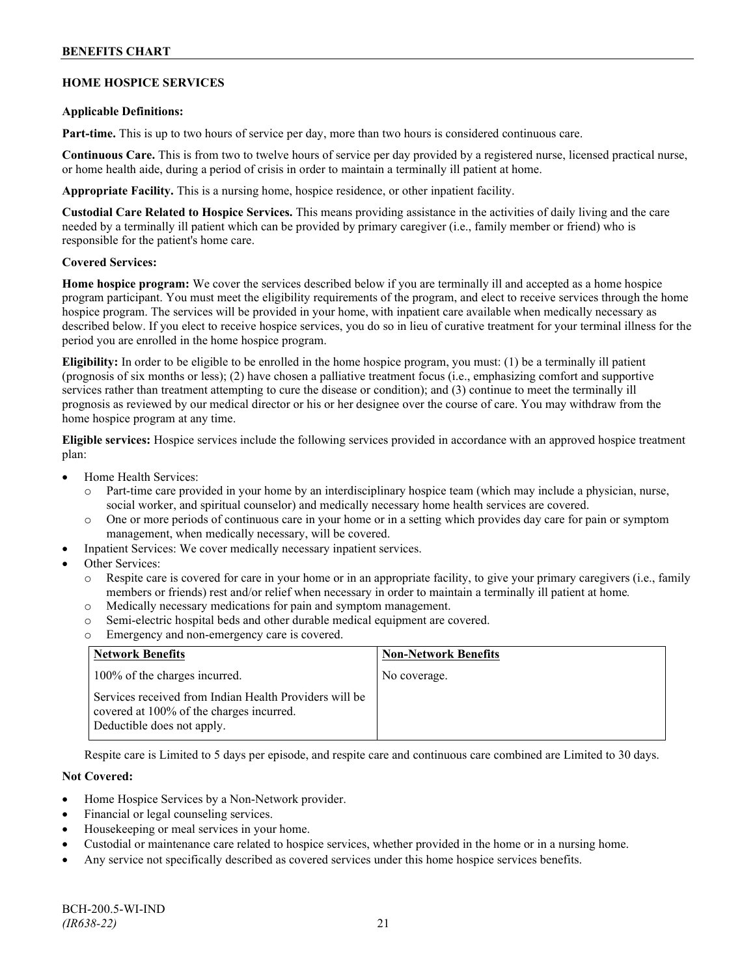#### **HOME HOSPICE SERVICES**

#### **Applicable Definitions:**

**Part-time.** This is up to two hours of service per day, more than two hours is considered continuous care.

**Continuous Care.** This is from two to twelve hours of service per day provided by a registered nurse, licensed practical nurse, or home health aide, during a period of crisis in order to maintain a terminally ill patient at home.

**Appropriate Facility.** This is a nursing home, hospice residence, or other inpatient facility.

**Custodial Care Related to Hospice Services.** This means providing assistance in the activities of daily living and the care needed by a terminally ill patient which can be provided by primary caregiver (i.e., family member or friend) who is responsible for the patient's home care.

#### **Covered Services:**

**Home hospice program:** We cover the services described below if you are terminally ill and accepted as a home hospice program participant. You must meet the eligibility requirements of the program, and elect to receive services through the home hospice program. The services will be provided in your home, with inpatient care available when medically necessary as described below. If you elect to receive hospice services, you do so in lieu of curative treatment for your terminal illness for the period you are enrolled in the home hospice program.

**Eligibility:** In order to be eligible to be enrolled in the home hospice program, you must: (1) be a terminally ill patient (prognosis of six months or less); (2) have chosen a palliative treatment focus (i.e., emphasizing comfort and supportive services rather than treatment attempting to cure the disease or condition); and (3) continue to meet the terminally ill prognosis as reviewed by our medical director or his or her designee over the course of care. You may withdraw from the home hospice program at any time.

**Eligible services:** Hospice services include the following services provided in accordance with an approved hospice treatment plan:

- Home Health Services:
	- o Part-time care provided in your home by an interdisciplinary hospice team (which may include a physician, nurse, social worker, and spiritual counselor) and medically necessary home health services are covered.
	- o One or more periods of continuous care in your home or in a setting which provides day care for pain or symptom management, when medically necessary, will be covered.
- Inpatient Services: We cover medically necessary inpatient services.
- Other Services:
	- Respite care is covered for care in your home or in an appropriate facility, to give your primary caregivers (i.e., family members or friends) rest and/or relief when necessary in order to maintain a terminally ill patient at home*.*
	- o Medically necessary medications for pain and symptom management.
	- o Semi-electric hospital beds and other durable medical equipment are covered.
	- o Emergency and non-emergency care is covered.

| <b>Network Benefits</b>                                                                                                          | <b>Non-Network Benefits</b> |
|----------------------------------------------------------------------------------------------------------------------------------|-----------------------------|
| 100% of the charges incurred.                                                                                                    | No coverage.                |
| Services received from Indian Health Providers will be<br>covered at 100% of the charges incurred.<br>Deductible does not apply. |                             |

Respite care is Limited to 5 days per episode, and respite care and continuous care combined are Limited to 30 days.

#### **Not Covered:**

- Home Hospice Services by a Non-Network provider.
- Financial or legal counseling services.
- Housekeeping or meal services in your home.
- Custodial or maintenance care related to hospice services, whether provided in the home or in a nursing home.
- Any service not specifically described as covered services under this home hospice services benefits.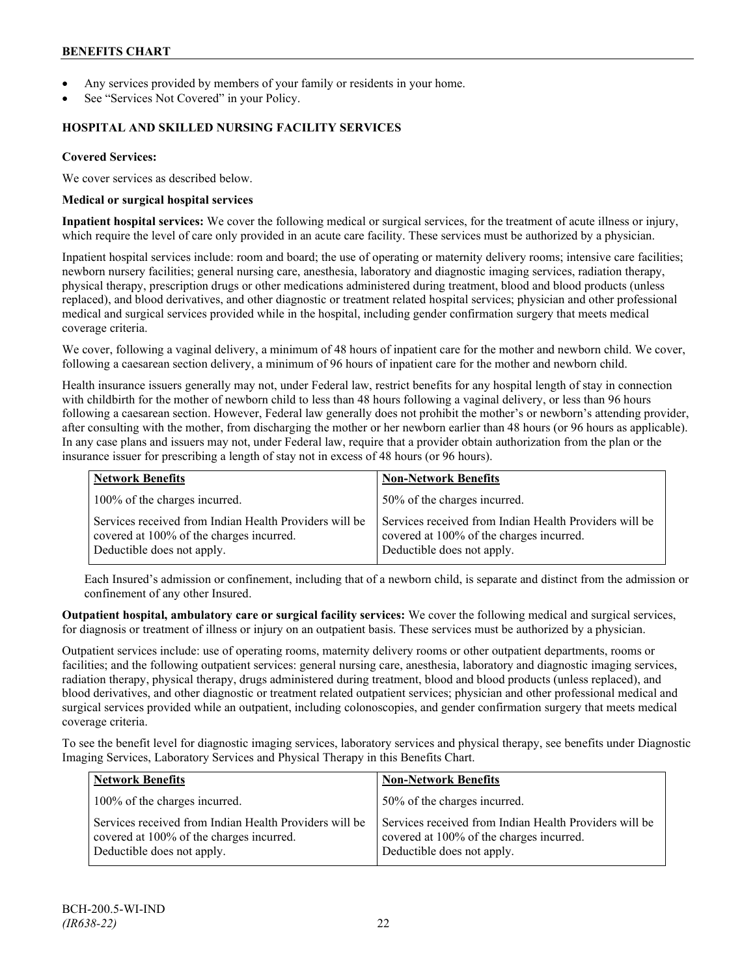- Any services provided by members of your family or residents in your home.
- See "Services Not Covered" in your Policy.

## **HOSPITAL AND SKILLED NURSING FACILITY SERVICES**

#### **Covered Services:**

We cover services as described below.

#### **Medical or surgical hospital services**

**Inpatient hospital services:** We cover the following medical or surgical services, for the treatment of acute illness or injury, which require the level of care only provided in an acute care facility. These services must be authorized by a physician.

Inpatient hospital services include: room and board; the use of operating or maternity delivery rooms; intensive care facilities; newborn nursery facilities; general nursing care, anesthesia, laboratory and diagnostic imaging services, radiation therapy, physical therapy, prescription drugs or other medications administered during treatment, blood and blood products (unless replaced), and blood derivatives, and other diagnostic or treatment related hospital services; physician and other professional medical and surgical services provided while in the hospital, including gender confirmation surgery that meets medical coverage criteria.

We cover, following a vaginal delivery, a minimum of 48 hours of inpatient care for the mother and newborn child. We cover, following a caesarean section delivery, a minimum of 96 hours of inpatient care for the mother and newborn child.

Health insurance issuers generally may not, under Federal law, restrict benefits for any hospital length of stay in connection with childbirth for the mother of newborn child to less than 48 hours following a vaginal delivery, or less than 96 hours following a caesarean section. However, Federal law generally does not prohibit the mother's or newborn's attending provider, after consulting with the mother, from discharging the mother or her newborn earlier than 48 hours (or 96 hours as applicable). In any case plans and issuers may not, under Federal law, require that a provider obtain authorization from the plan or the insurance issuer for prescribing a length of stay not in excess of 48 hours (or 96 hours).

| <b>Network Benefits</b>                                                                                                          | <b>Non-Network Benefits</b>                                                                                                      |
|----------------------------------------------------------------------------------------------------------------------------------|----------------------------------------------------------------------------------------------------------------------------------|
| 100% of the charges incurred.                                                                                                    | 50% of the charges incurred.                                                                                                     |
| Services received from Indian Health Providers will be<br>covered at 100% of the charges incurred.<br>Deductible does not apply. | Services received from Indian Health Providers will be<br>covered at 100% of the charges incurred.<br>Deductible does not apply. |

Each Insured's admission or confinement, including that of a newborn child, is separate and distinct from the admission or confinement of any other Insured.

**Outpatient hospital, ambulatory care or surgical facility services:** We cover the following medical and surgical services, for diagnosis or treatment of illness or injury on an outpatient basis. These services must be authorized by a physician.

Outpatient services include: use of operating rooms, maternity delivery rooms or other outpatient departments, rooms or facilities; and the following outpatient services: general nursing care, anesthesia, laboratory and diagnostic imaging services, radiation therapy, physical therapy, drugs administered during treatment, blood and blood products (unless replaced), and blood derivatives, and other diagnostic or treatment related outpatient services; physician and other professional medical and surgical services provided while an outpatient, including colonoscopies, and gender confirmation surgery that meets medical coverage criteria.

To see the benefit level for diagnostic imaging services, laboratory services and physical therapy, see benefits under Diagnostic Imaging Services, Laboratory Services and Physical Therapy in this Benefits Chart.

| <b>Network Benefits</b>                                                                                                          | <b>Non-Network Benefits</b>                                                                                                      |
|----------------------------------------------------------------------------------------------------------------------------------|----------------------------------------------------------------------------------------------------------------------------------|
| 100% of the charges incurred.                                                                                                    | 50% of the charges incurred.                                                                                                     |
| Services received from Indian Health Providers will be<br>covered at 100% of the charges incurred.<br>Deductible does not apply. | Services received from Indian Health Providers will be<br>covered at 100% of the charges incurred.<br>Deductible does not apply. |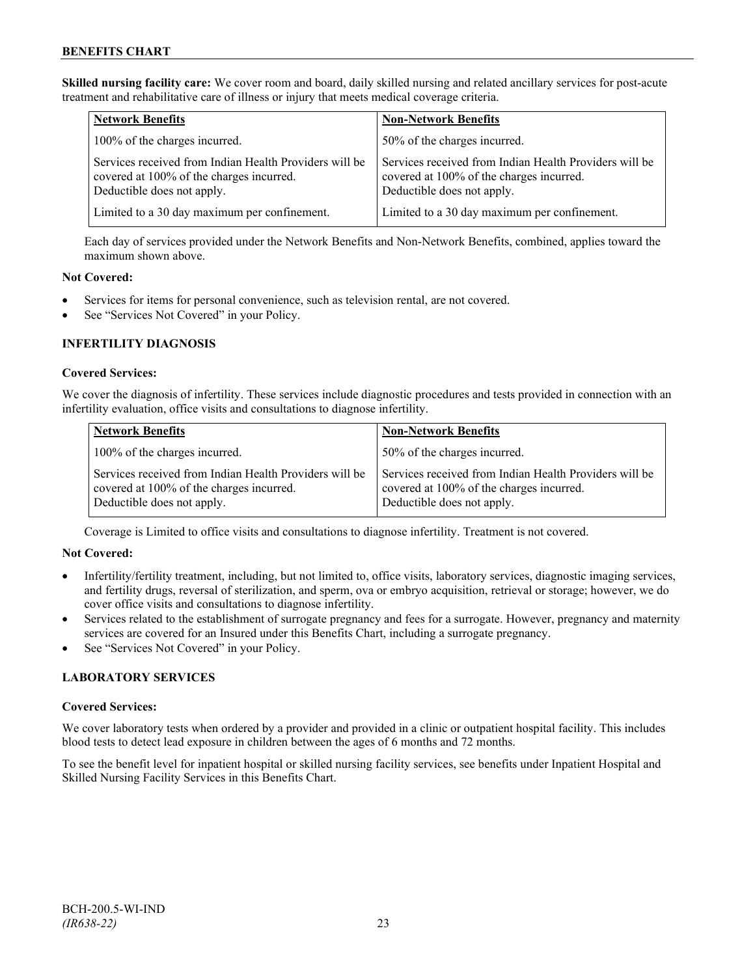**Skilled nursing facility care:** We cover room and board, daily skilled nursing and related ancillary services for post-acute treatment and rehabilitative care of illness or injury that meets medical coverage criteria.

| <b>Network Benefits</b>                                                                                                          | <b>Non-Network Benefits</b>                                                                                                      |
|----------------------------------------------------------------------------------------------------------------------------------|----------------------------------------------------------------------------------------------------------------------------------|
| 100% of the charges incurred.                                                                                                    | 50% of the charges incurred.                                                                                                     |
| Services received from Indian Health Providers will be<br>covered at 100% of the charges incurred.<br>Deductible does not apply. | Services received from Indian Health Providers will be<br>covered at 100% of the charges incurred.<br>Deductible does not apply. |
| Limited to a 30 day maximum per confinement.                                                                                     | Limited to a 30 day maximum per confinement.                                                                                     |

Each day of services provided under the Network Benefits and Non-Network Benefits, combined, applies toward the maximum shown above.

#### **Not Covered:**

- Services for items for personal convenience, such as television rental, are not covered.
- See "Services Not Covered" in your Policy.

## **INFERTILITY DIAGNOSIS**

## **Covered Services:**

We cover the diagnosis of infertility. These services include diagnostic procedures and tests provided in connection with an infertility evaluation, office visits and consultations to diagnose infertility.

| <b>Network Benefits</b>                                                                                                          | <b>Non-Network Benefits</b>                                                                                                      |
|----------------------------------------------------------------------------------------------------------------------------------|----------------------------------------------------------------------------------------------------------------------------------|
| 100% of the charges incurred.                                                                                                    | 50% of the charges incurred.                                                                                                     |
| Services received from Indian Health Providers will be<br>covered at 100% of the charges incurred.<br>Deductible does not apply. | Services received from Indian Health Providers will be<br>covered at 100% of the charges incurred.<br>Deductible does not apply. |

Coverage is Limited to office visits and consultations to diagnose infertility. Treatment is not covered.

#### **Not Covered:**

- Infertility/fertility treatment, including, but not limited to, office visits, laboratory services, diagnostic imaging services, and fertility drugs, reversal of sterilization, and sperm, ova or embryo acquisition, retrieval or storage; however, we do cover office visits and consultations to diagnose infertility.
- Services related to the establishment of surrogate pregnancy and fees for a surrogate. However, pregnancy and maternity services are covered for an Insured under this Benefits Chart, including a surrogate pregnancy.
- See "Services Not Covered" in your Policy.

#### **LABORATORY SERVICES**

#### **Covered Services:**

We cover laboratory tests when ordered by a provider and provided in a clinic or outpatient hospital facility. This includes blood tests to detect lead exposure in children between the ages of 6 months and 72 months.

To see the benefit level for inpatient hospital or skilled nursing facility services, see benefits under Inpatient Hospital and Skilled Nursing Facility Services in this Benefits Chart.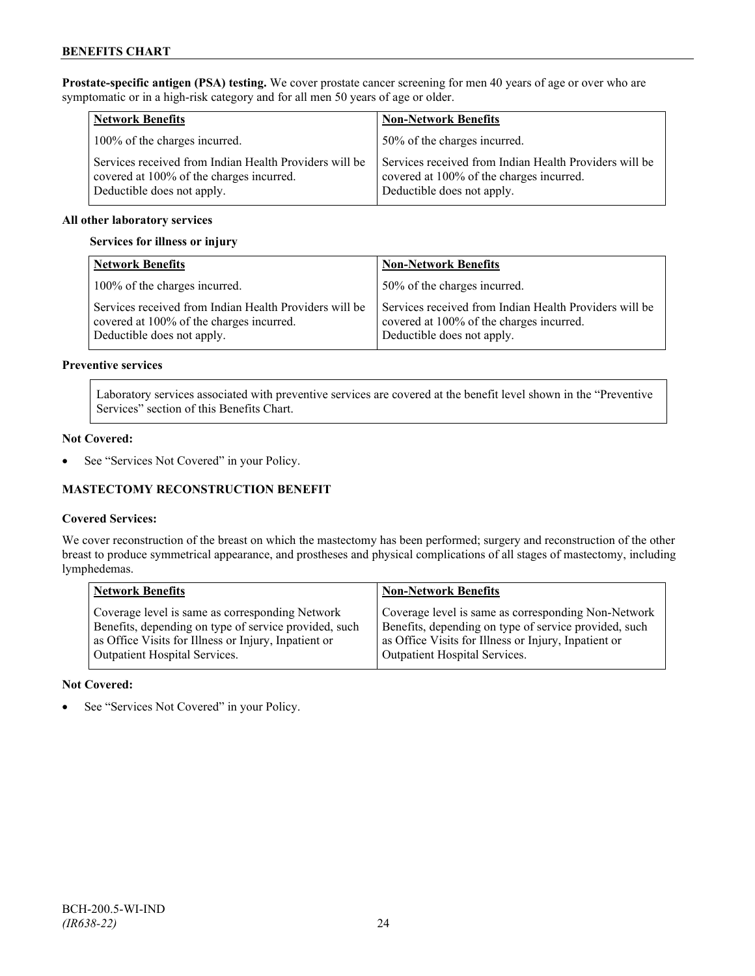**Prostate-specific antigen (PSA) testing.** We cover prostate cancer screening for men 40 years of age or over who are symptomatic or in a high-risk category and for all men 50 years of age or older.

| <b>Network Benefits</b>                                                                                                          | <b>Non-Network Benefits</b>                                                                                                      |
|----------------------------------------------------------------------------------------------------------------------------------|----------------------------------------------------------------------------------------------------------------------------------|
| 100% of the charges incurred.                                                                                                    | 50% of the charges incurred.                                                                                                     |
| Services received from Indian Health Providers will be<br>covered at 100% of the charges incurred.<br>Deductible does not apply. | Services received from Indian Health Providers will be<br>covered at 100% of the charges incurred.<br>Deductible does not apply. |

#### **All other laboratory services**

#### **Services for illness or injury**

| <b>Network Benefits</b>                                                                                                          | <b>Non-Network Benefits</b>                                                                                                      |
|----------------------------------------------------------------------------------------------------------------------------------|----------------------------------------------------------------------------------------------------------------------------------|
| 100% of the charges incurred.                                                                                                    | 50% of the charges incurred.                                                                                                     |
| Services received from Indian Health Providers will be<br>covered at 100% of the charges incurred.<br>Deductible does not apply. | Services received from Indian Health Providers will be<br>covered at 100% of the charges incurred.<br>Deductible does not apply. |

#### **Preventive services**

Laboratory services associated with preventive services are covered at the benefit level shown in the "Preventive Services" section of this Benefits Chart.

#### **Not Covered:**

• See "Services Not Covered" in your Policy.

### **MASTECTOMY RECONSTRUCTION BENEFIT**

#### **Covered Services:**

We cover reconstruction of the breast on which the mastectomy has been performed; surgery and reconstruction of the other breast to produce symmetrical appearance, and prostheses and physical complications of all stages of mastectomy, including lymphedemas.

| <b>Network Benefits</b>                               | <b>Non-Network Benefits</b>                           |
|-------------------------------------------------------|-------------------------------------------------------|
| Coverage level is same as corresponding Network       | Coverage level is same as corresponding Non-Network   |
| Benefits, depending on type of service provided, such | Benefits, depending on type of service provided, such |
| as Office Visits for Illness or Injury, Inpatient or  | as Office Visits for Illness or Injury, Inpatient or  |
| Outpatient Hospital Services.                         | Outpatient Hospital Services.                         |

#### **Not Covered:**

See "Services Not Covered" in your Policy.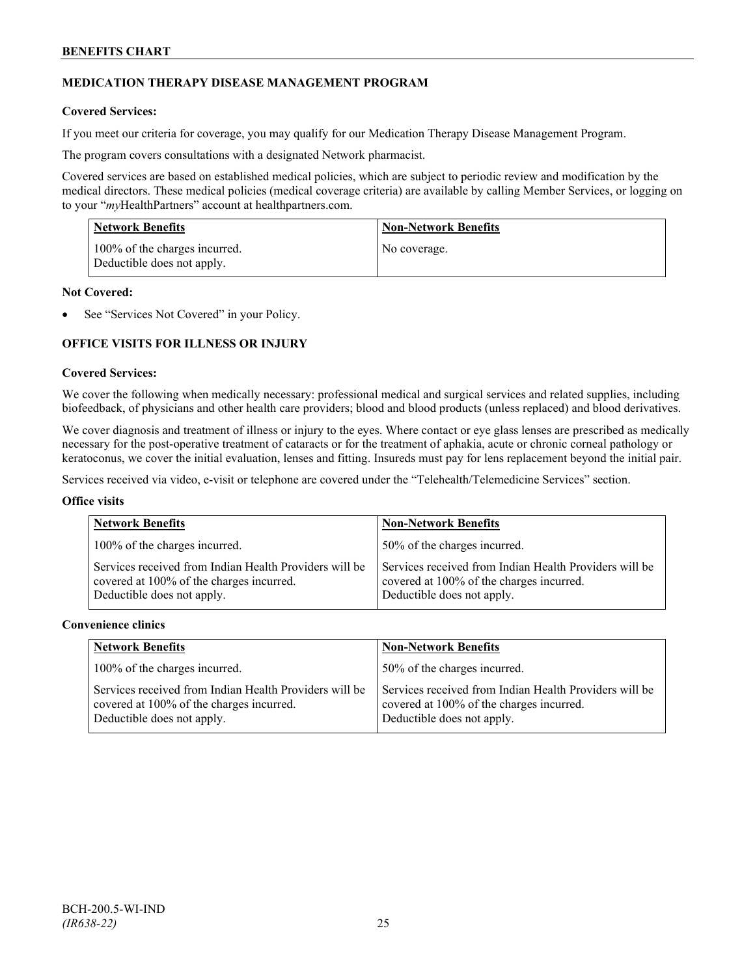## **MEDICATION THERAPY DISEASE MANAGEMENT PROGRAM**

#### **Covered Services:**

If you meet our criteria for coverage, you may qualify for our Medication Therapy Disease Management Program.

The program covers consultations with a designated Network pharmacist.

Covered services are based on established medical policies, which are subject to periodic review and modification by the medical directors. These medical policies (medical coverage criteria) are available by calling Member Services, or logging on to your "*my*HealthPartners" account at [healthpartners.com.](http://www.healthpartners.com/)

| <b>Network Benefits</b>                                     | <b>Non-Network Benefits</b> |
|-------------------------------------------------------------|-----------------------------|
| 100% of the charges incurred.<br>Deductible does not apply. | No coverage.                |

#### **Not Covered:**

See "Services Not Covered" in your Policy.

## **OFFICE VISITS FOR ILLNESS OR INJURY**

#### **Covered Services:**

We cover the following when medically necessary: professional medical and surgical services and related supplies, including biofeedback, of physicians and other health care providers; blood and blood products (unless replaced) and blood derivatives.

We cover diagnosis and treatment of illness or injury to the eyes. Where contact or eye glass lenses are prescribed as medically necessary for the post-operative treatment of cataracts or for the treatment of aphakia, acute or chronic corneal pathology or keratoconus, we cover the initial evaluation, lenses and fitting. Insureds must pay for lens replacement beyond the initial pair.

Services received via video, e-visit or telephone are covered under the "Telehealth/Telemedicine Services" section.

#### **Office visits**

| <b>Network Benefits</b>                                                                                                          | <b>Non-Network Benefits</b>                                                                                                      |
|----------------------------------------------------------------------------------------------------------------------------------|----------------------------------------------------------------------------------------------------------------------------------|
| 100% of the charges incurred.                                                                                                    | 50% of the charges incurred.                                                                                                     |
| Services received from Indian Health Providers will be<br>covered at 100% of the charges incurred.<br>Deductible does not apply. | Services received from Indian Health Providers will be<br>covered at 100% of the charges incurred.<br>Deductible does not apply. |

#### **Convenience clinics**

| <b>Network Benefits</b>                                                                                                          | <b>Non-Network Benefits</b>                                                                                                      |
|----------------------------------------------------------------------------------------------------------------------------------|----------------------------------------------------------------------------------------------------------------------------------|
| 100% of the charges incurred.                                                                                                    | 150% of the charges incurred.                                                                                                    |
| Services received from Indian Health Providers will be<br>covered at 100% of the charges incurred.<br>Deductible does not apply. | Services received from Indian Health Providers will be<br>covered at 100% of the charges incurred.<br>Deductible does not apply. |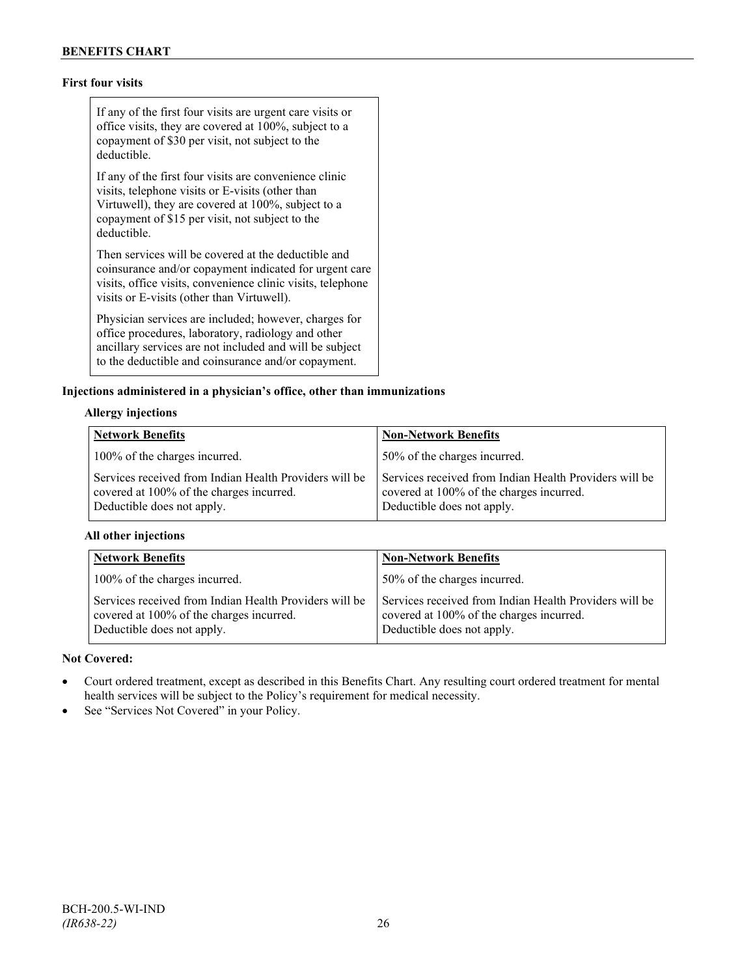## **First four visits**

If any of the first four visits are urgent care visits or office visits, they are covered at 100%, subject to a copayment of \$30 per visit, not subject to the deductible.

If any of the first four visits are convenience clinic visits, telephone visits or E-visits (other than Virtuwell), they are covered at 100%, subject to a copayment of \$15 per visit, not subject to the deductible.

Then services will be covered at the deductible and coinsurance and/or copayment indicated for urgent care visits, office visits, convenience clinic visits, telephone visits or E-visits (other than Virtuwell).

Physician services are included; however, charges for office procedures, laboratory, radiology and other ancillary services are not included and will be subject to the deductible and coinsurance and/or copayment.

#### **Injections administered in a physician's office, other than immunizations**

### **Allergy injections**

| <b>Network Benefits</b>                                                                                                          | <b>Non-Network Benefits</b>                                                                                                      |
|----------------------------------------------------------------------------------------------------------------------------------|----------------------------------------------------------------------------------------------------------------------------------|
| 100% of the charges incurred.                                                                                                    | 50% of the charges incurred.                                                                                                     |
| Services received from Indian Health Providers will be<br>covered at 100% of the charges incurred.<br>Deductible does not apply. | Services received from Indian Health Providers will be<br>covered at 100% of the charges incurred.<br>Deductible does not apply. |

#### **All other injections**

| <b>Network Benefits</b>                                                                                                          | <b>Non-Network Benefits</b>                                                                                                      |
|----------------------------------------------------------------------------------------------------------------------------------|----------------------------------------------------------------------------------------------------------------------------------|
| 100% of the charges incurred.                                                                                                    | 50% of the charges incurred.                                                                                                     |
| Services received from Indian Health Providers will be<br>covered at 100% of the charges incurred.<br>Deductible does not apply. | Services received from Indian Health Providers will be<br>covered at 100% of the charges incurred.<br>Deductible does not apply. |

### **Not Covered:**

- Court ordered treatment, except as described in this Benefits Chart. Any resulting court ordered treatment for mental health services will be subject to the Policy's requirement for medical necessity.
- See "Services Not Covered" in your Policy.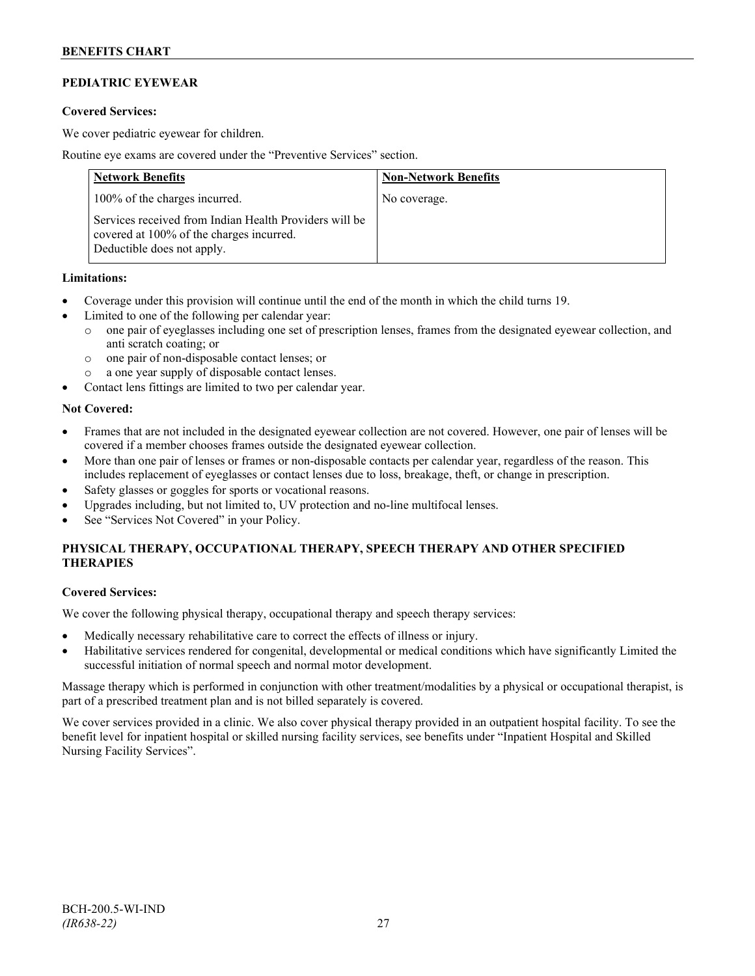## **PEDIATRIC EYEWEAR**

#### **Covered Services:**

We cover pediatric eyewear for children.

Routine eye exams are covered under the "Preventive Services" section.

| <b>Network Benefits</b>                                                                                                          | <b>Non-Network Benefits</b> |
|----------------------------------------------------------------------------------------------------------------------------------|-----------------------------|
| 100% of the charges incurred.                                                                                                    | No coverage.                |
| Services received from Indian Health Providers will be<br>covered at 100% of the charges incurred.<br>Deductible does not apply. |                             |

#### **Limitations:**

- Coverage under this provision will continue until the end of the month in which the child turns 19.
- Limited to one of the following per calendar year:
	- o one pair of eyeglasses including one set of prescription lenses, frames from the designated eyewear collection, and anti scratch coating; or
	- o one pair of non-disposable contact lenses; or
	- o a one year supply of disposable contact lenses.
- Contact lens fittings are limited to two per calendar year.

#### **Not Covered:**

- Frames that are not included in the designated eyewear collection are not covered. However, one pair of lenses will be covered if a member chooses frames outside the designated eyewear collection.
- More than one pair of lenses or frames or non-disposable contacts per calendar year, regardless of the reason. This includes replacement of eyeglasses or contact lenses due to loss, breakage, theft, or change in prescription.
- Safety glasses or goggles for sports or vocational reasons.
- Upgrades including, but not limited to, UV protection and no-line multifocal lenses.
- See "Services Not Covered" in your Policy.

## **PHYSICAL THERAPY, OCCUPATIONAL THERAPY, SPEECH THERAPY AND OTHER SPECIFIED THERAPIES**

#### **Covered Services:**

We cover the following physical therapy, occupational therapy and speech therapy services:

- Medically necessary rehabilitative care to correct the effects of illness or injury.
- Habilitative services rendered for congenital, developmental or medical conditions which have significantly Limited the successful initiation of normal speech and normal motor development.

Massage therapy which is performed in conjunction with other treatment/modalities by a physical or occupational therapist, is part of a prescribed treatment plan and is not billed separately is covered.

We cover services provided in a clinic. We also cover physical therapy provided in an outpatient hospital facility. To see the benefit level for inpatient hospital or skilled nursing facility services, see benefits under "Inpatient Hospital and Skilled Nursing Facility Services".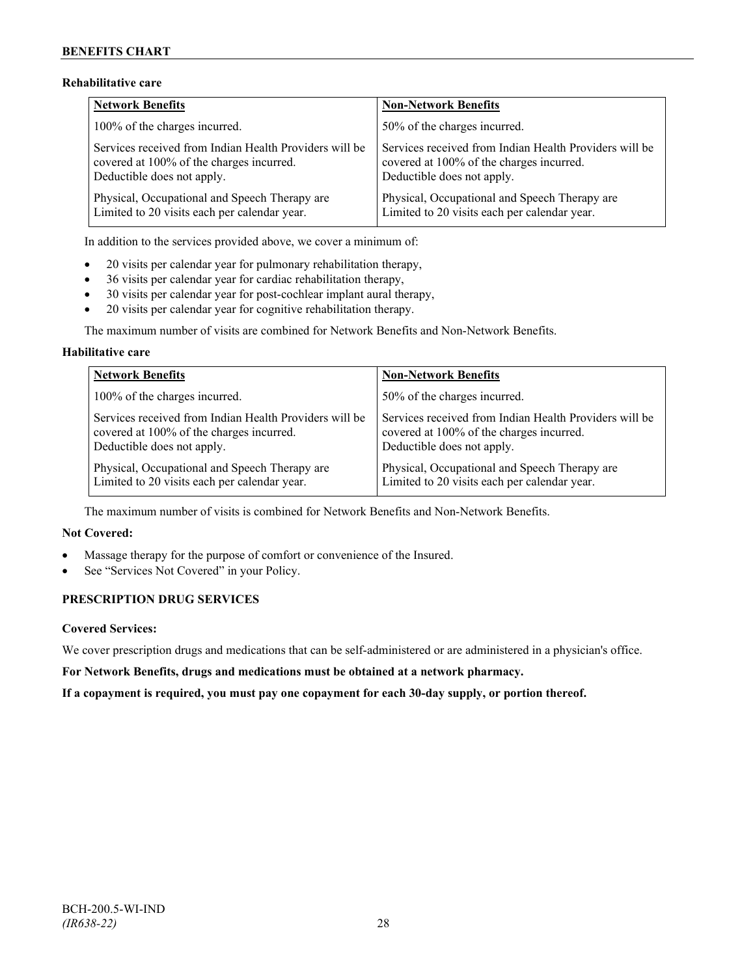## **Rehabilitative care**

| <b>Network Benefits</b>                                | <b>Non-Network Benefits</b>                            |
|--------------------------------------------------------|--------------------------------------------------------|
| 100% of the charges incurred.                          | 50% of the charges incurred.                           |
| Services received from Indian Health Providers will be | Services received from Indian Health Providers will be |
| covered at 100% of the charges incurred.               | covered at 100% of the charges incurred.               |
| Deductible does not apply.                             | Deductible does not apply.                             |
| Physical, Occupational and Speech Therapy are          | Physical, Occupational and Speech Therapy are          |
| Limited to 20 visits each per calendar year.           | Limited to 20 visits each per calendar year.           |

In addition to the services provided above, we cover a minimum of:

- 20 visits per calendar year for pulmonary rehabilitation therapy,
- 36 visits per calendar year for cardiac rehabilitation therapy,
- 30 visits per calendar year for post-cochlear implant aural therapy,
- 20 visits per calendar year for cognitive rehabilitation therapy.

The maximum number of visits are combined for Network Benefits and Non-Network Benefits.

### **Habilitative care**

| <b>Network Benefits</b>                                | <b>Non-Network Benefits</b>                            |
|--------------------------------------------------------|--------------------------------------------------------|
| 100% of the charges incurred.                          | 50% of the charges incurred.                           |
| Services received from Indian Health Providers will be | Services received from Indian Health Providers will be |
| covered at 100% of the charges incurred.               | covered at 100% of the charges incurred.               |
| Deductible does not apply.                             | Deductible does not apply.                             |
| Physical, Occupational and Speech Therapy are          | Physical, Occupational and Speech Therapy are          |
| Limited to 20 visits each per calendar year.           | Limited to 20 visits each per calendar year.           |

The maximum number of visits is combined for Network Benefits and Non-Network Benefits.

### **Not Covered:**

- Massage therapy for the purpose of comfort or convenience of the Insured.
- See "Services Not Covered" in your Policy.

## **PRESCRIPTION DRUG SERVICES**

#### **Covered Services:**

We cover prescription drugs and medications that can be self-administered or are administered in a physician's office.

**For Network Benefits, drugs and medications must be obtained at a network pharmacy.**

**If a copayment is required, you must pay one copayment for each 30-day supply, or portion thereof.**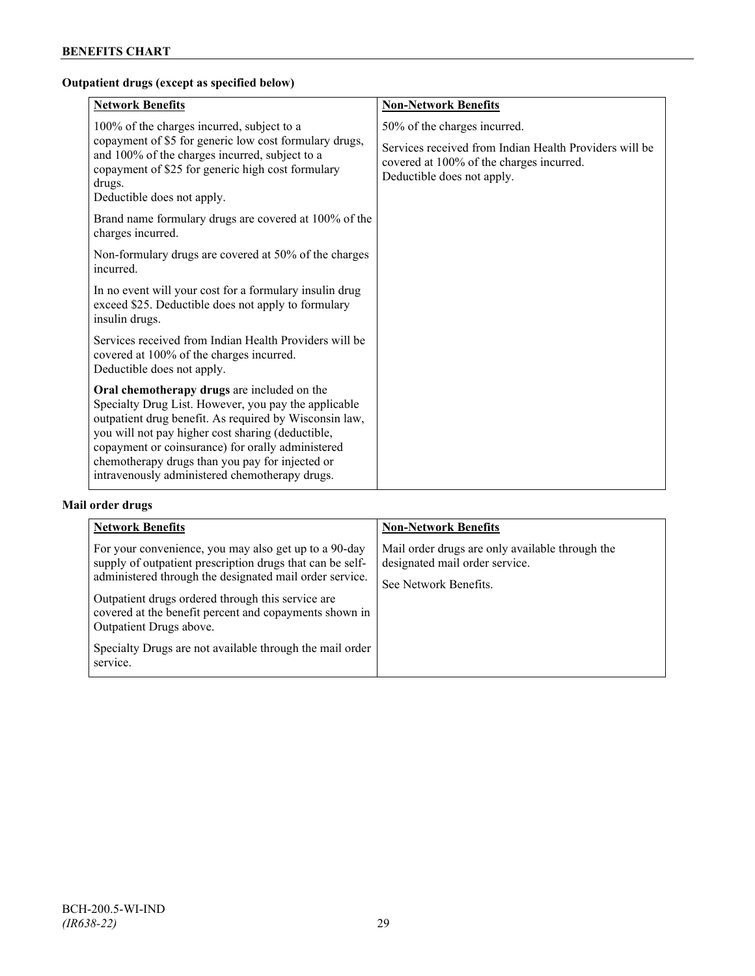## **Outpatient drugs (except as specified below)**

| <b>Network Benefits</b>                                                                                                                                                                                                                                                                                                                                                      | <b>Non-Network Benefits</b>                                                                                                                                      |
|------------------------------------------------------------------------------------------------------------------------------------------------------------------------------------------------------------------------------------------------------------------------------------------------------------------------------------------------------------------------------|------------------------------------------------------------------------------------------------------------------------------------------------------------------|
| 100% of the charges incurred, subject to a<br>copayment of \$5 for generic low cost formulary drugs,<br>and 100% of the charges incurred, subject to a<br>copayment of \$25 for generic high cost formulary<br>drugs.<br>Deductible does not apply.                                                                                                                          | 50% of the charges incurred.<br>Services received from Indian Health Providers will be<br>covered at 100% of the charges incurred.<br>Deductible does not apply. |
| Brand name formulary drugs are covered at 100% of the<br>charges incurred.                                                                                                                                                                                                                                                                                                   |                                                                                                                                                                  |
| Non-formulary drugs are covered at 50% of the charges<br>incurred.                                                                                                                                                                                                                                                                                                           |                                                                                                                                                                  |
| In no event will your cost for a formulary insulin drug<br>exceed \$25. Deductible does not apply to formulary<br>insulin drugs.                                                                                                                                                                                                                                             |                                                                                                                                                                  |
| Services received from Indian Health Providers will be<br>covered at 100% of the charges incurred.<br>Deductible does not apply.                                                                                                                                                                                                                                             |                                                                                                                                                                  |
| Oral chemotherapy drugs are included on the<br>Specialty Drug List. However, you pay the applicable<br>outpatient drug benefit. As required by Wisconsin law,<br>you will not pay higher cost sharing (deductible,<br>copayment or coinsurance) for orally administered<br>chemotherapy drugs than you pay for injected or<br>intravenously administered chemotherapy drugs. |                                                                                                                                                                  |

## **Mail order drugs**

| <b>Network Benefits</b>                                                                                                                                                                                                                                                                                                                                                                         | <b>Non-Network Benefits</b>                                                                                |
|-------------------------------------------------------------------------------------------------------------------------------------------------------------------------------------------------------------------------------------------------------------------------------------------------------------------------------------------------------------------------------------------------|------------------------------------------------------------------------------------------------------------|
| For your convenience, you may also get up to a 90-day<br>supply of outpatient prescription drugs that can be self-<br>administered through the designated mail order service.<br>Outpatient drugs ordered through this service are<br>covered at the benefit percent and copayments shown in<br>Outpatient Drugs above.<br>Specialty Drugs are not available through the mail order<br>service. | Mail order drugs are only available through the<br>designated mail order service.<br>See Network Benefits. |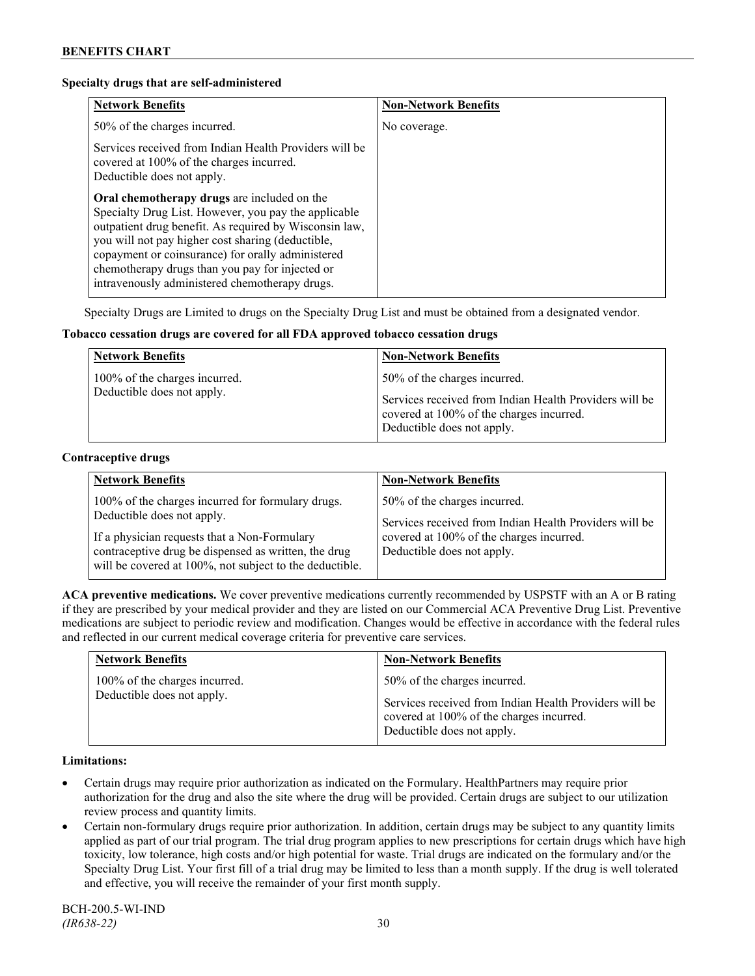#### **Specialty drugs that are self-administered**

| <b>Network Benefits</b>                                                                                                                                                                                                                                                                                                                                                      | <b>Non-Network Benefits</b> |
|------------------------------------------------------------------------------------------------------------------------------------------------------------------------------------------------------------------------------------------------------------------------------------------------------------------------------------------------------------------------------|-----------------------------|
| 50% of the charges incurred.                                                                                                                                                                                                                                                                                                                                                 | No coverage.                |
| Services received from Indian Health Providers will be<br>covered at 100% of the charges incurred.<br>Deductible does not apply.                                                                                                                                                                                                                                             |                             |
| Oral chemotherapy drugs are included on the<br>Specialty Drug List. However, you pay the applicable<br>outpatient drug benefit. As required by Wisconsin law,<br>you will not pay higher cost sharing (deductible,<br>copayment or coinsurance) for orally administered<br>chemotherapy drugs than you pay for injected or<br>intravenously administered chemotherapy drugs. |                             |

Specialty Drugs are Limited to drugs on the Specialty Drug List and must be obtained from a designated vendor.

#### **Tobacco cessation drugs are covered for all FDA approved tobacco cessation drugs**

| <b>Network Benefits</b>                                     | <b>Non-Network Benefits</b>                                                                                                                                      |
|-------------------------------------------------------------|------------------------------------------------------------------------------------------------------------------------------------------------------------------|
| 100% of the charges incurred.<br>Deductible does not apply. | 50% of the charges incurred.<br>Services received from Indian Health Providers will be<br>covered at 100% of the charges incurred.<br>Deductible does not apply. |

#### **Contraceptive drugs**

| <b>Network Benefits</b>                                                                                                                                                                                                                            | <b>Non-Network Benefits</b>                                                                                                                                      |
|----------------------------------------------------------------------------------------------------------------------------------------------------------------------------------------------------------------------------------------------------|------------------------------------------------------------------------------------------------------------------------------------------------------------------|
| 100% of the charges incurred for formulary drugs.<br>Deductible does not apply.<br>If a physician requests that a Non-Formulary<br>contraceptive drug be dispensed as written, the drug<br>will be covered at 100%, not subject to the deductible. | 50% of the charges incurred.<br>Services received from Indian Health Providers will be<br>covered at 100% of the charges incurred.<br>Deductible does not apply. |

**ACA preventive medications.** We cover preventive medications currently recommended by USPSTF with an A or B rating if they are prescribed by your medical provider and they are listed on our Commercial ACA Preventive Drug List. Preventive medications are subject to periodic review and modification. Changes would be effective in accordance with the federal rules and reflected in our current medical coverage criteria for preventive care services.

| <b>Network Benefits</b>       | <b>Non-Network Benefits</b>                                                                                                      |
|-------------------------------|----------------------------------------------------------------------------------------------------------------------------------|
| 100% of the charges incurred. | 50% of the charges incurred.                                                                                                     |
| Deductible does not apply.    | Services received from Indian Health Providers will be<br>covered at 100% of the charges incurred.<br>Deductible does not apply. |

#### **Limitations:**

- Certain drugs may require prior authorization as indicated on the Formulary. HealthPartners may require prior authorization for the drug and also the site where the drug will be provided. Certain drugs are subject to our utilization review process and quantity limits.
- Certain non-formulary drugs require prior authorization. In addition, certain drugs may be subject to any quantity limits applied as part of our trial program. The trial drug program applies to new prescriptions for certain drugs which have high toxicity, low tolerance, high costs and/or high potential for waste. Trial drugs are indicated on the formulary and/or the Specialty Drug List. Your first fill of a trial drug may be limited to less than a month supply. If the drug is well tolerated and effective, you will receive the remainder of your first month supply.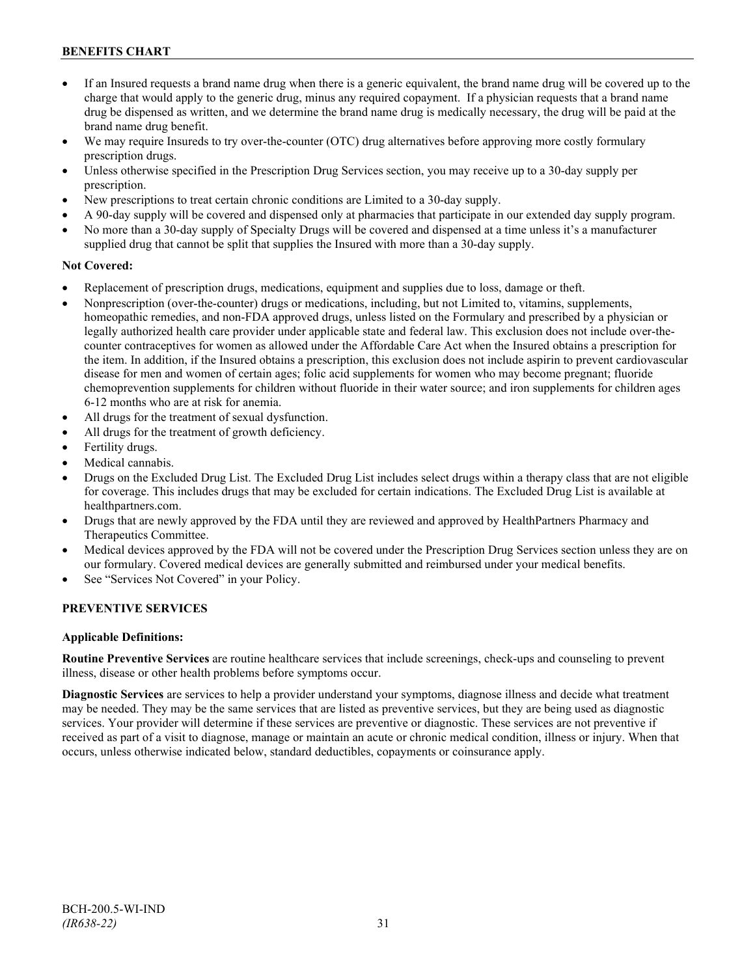- If an Insured requests a brand name drug when there is a generic equivalent, the brand name drug will be covered up to the charge that would apply to the generic drug, minus any required copayment. If a physician requests that a brand name drug be dispensed as written, and we determine the brand name drug is medically necessary, the drug will be paid at the brand name drug benefit.
- We may require Insureds to try over-the-counter (OTC) drug alternatives before approving more costly formulary prescription drugs.
- Unless otherwise specified in the Prescription Drug Services section, you may receive up to a 30-day supply per prescription.
- New prescriptions to treat certain chronic conditions are Limited to a 30-day supply.
- A 90-day supply will be covered and dispensed only at pharmacies that participate in our extended day supply program.
- No more than a 30-day supply of Specialty Drugs will be covered and dispensed at a time unless it's a manufacturer supplied drug that cannot be split that supplies the Insured with more than a 30-day supply.

#### **Not Covered:**

- Replacement of prescription drugs, medications, equipment and supplies due to loss, damage or theft.
- Nonprescription (over-the-counter) drugs or medications, including, but not Limited to, vitamins, supplements, homeopathic remedies, and non-FDA approved drugs, unless listed on the Formulary and prescribed by a physician or legally authorized health care provider under applicable state and federal law. This exclusion does not include over-thecounter contraceptives for women as allowed under the Affordable Care Act when the Insured obtains a prescription for the item. In addition, if the Insured obtains a prescription, this exclusion does not include aspirin to prevent cardiovascular disease for men and women of certain ages; folic acid supplements for women who may become pregnant; fluoride chemoprevention supplements for children without fluoride in their water source; and iron supplements for children ages 6-12 months who are at risk for anemia.
- All drugs for the treatment of sexual dysfunction.
- All drugs for the treatment of growth deficiency.
- Fertility drugs.
- Medical cannabis.
- Drugs on the Excluded Drug List. The Excluded Drug List includes select drugs within a therapy class that are not eligible for coverage. This includes drugs that may be excluded for certain indications. The Excluded Drug List is available at [healthpartners.com.](http://www.healthpartners.com/)
- Drugs that are newly approved by the FDA until they are reviewed and approved by HealthPartners Pharmacy and Therapeutics Committee.
- Medical devices approved by the FDA will not be covered under the Prescription Drug Services section unless they are on our formulary. Covered medical devices are generally submitted and reimbursed under your medical benefits.
- See "Services Not Covered" in your Policy.

#### **PREVENTIVE SERVICES**

#### **Applicable Definitions:**

**Routine Preventive Services** are routine healthcare services that include screenings, check-ups and counseling to prevent illness, disease or other health problems before symptoms occur.

**Diagnostic Services** are services to help a provider understand your symptoms, diagnose illness and decide what treatment may be needed. They may be the same services that are listed as preventive services, but they are being used as diagnostic services. Your provider will determine if these services are preventive or diagnostic. These services are not preventive if received as part of a visit to diagnose, manage or maintain an acute or chronic medical condition, illness or injury. When that occurs, unless otherwise indicated below, standard deductibles, copayments or coinsurance apply.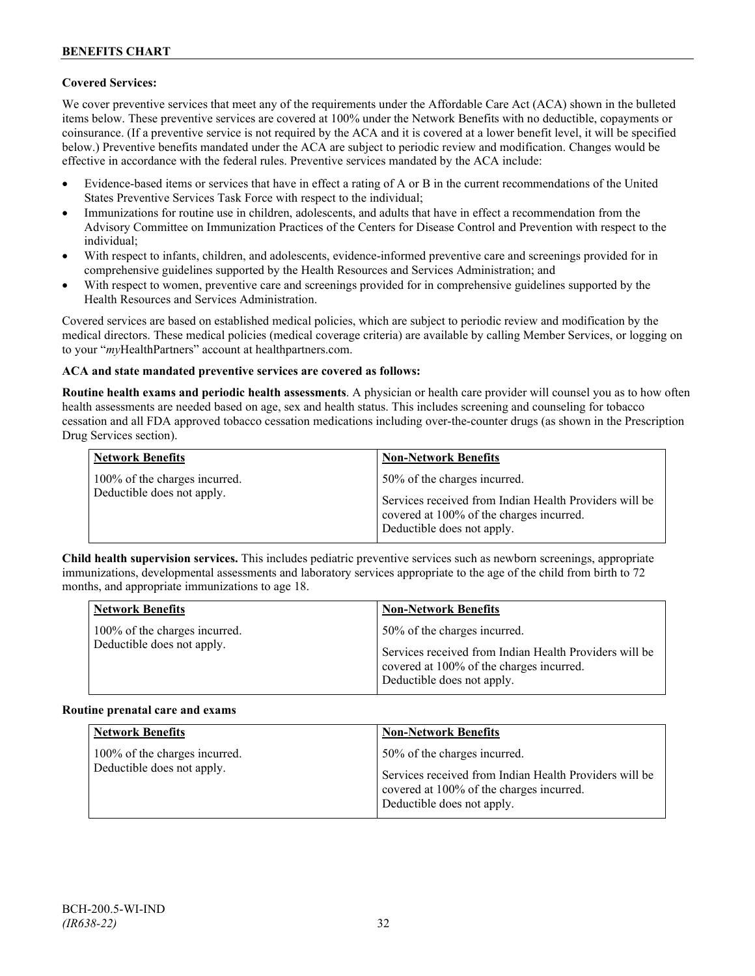## **Covered Services:**

We cover preventive services that meet any of the requirements under the Affordable Care Act (ACA) shown in the bulleted items below. These preventive services are covered at 100% under the Network Benefits with no deductible, copayments or coinsurance. (If a preventive service is not required by the ACA and it is covered at a lower benefit level, it will be specified below.) Preventive benefits mandated under the ACA are subject to periodic review and modification. Changes would be effective in accordance with the federal rules. Preventive services mandated by the ACA include:

- Evidence-based items or services that have in effect a rating of A or B in the current recommendations of the United States Preventive Services Task Force with respect to the individual;
- Immunizations for routine use in children, adolescents, and adults that have in effect a recommendation from the Advisory Committee on Immunization Practices of the Centers for Disease Control and Prevention with respect to the individual;
- With respect to infants, children, and adolescents, evidence-informed preventive care and screenings provided for in comprehensive guidelines supported by the Health Resources and Services Administration; and
- With respect to women, preventive care and screenings provided for in comprehensive guidelines supported by the Health Resources and Services Administration.

Covered services are based on established medical policies, which are subject to periodic review and modification by the medical directors. These medical policies (medical coverage criteria) are available by calling Member Services, or logging on to your "*my*HealthPartners" account at [healthpartners.com.](http://www.healthpartners.com/)

#### **ACA and state mandated preventive services are covered as follows:**

**Routine health exams and periodic health assessments**. A physician or health care provider will counsel you as to how often health assessments are needed based on age, sex and health status. This includes screening and counseling for tobacco cessation and all FDA approved tobacco cessation medications including over-the-counter drugs (as shown in the Prescription Drug Services section).

| <b>Network Benefits</b>                                     | <b>Non-Network Benefits</b>                                                                                                                                      |
|-------------------------------------------------------------|------------------------------------------------------------------------------------------------------------------------------------------------------------------|
| 100% of the charges incurred.<br>Deductible does not apply. | 50% of the charges incurred.<br>Services received from Indian Health Providers will be<br>covered at 100% of the charges incurred.<br>Deductible does not apply. |

**Child health supervision services.** This includes pediatric preventive services such as newborn screenings, appropriate immunizations, developmental assessments and laboratory services appropriate to the age of the child from birth to 72 months, and appropriate immunizations to age 18.

| <b>Network Benefits</b>       | <b>Non-Network Benefits</b>                                                                                                      |
|-------------------------------|----------------------------------------------------------------------------------------------------------------------------------|
| 100% of the charges incurred. | 50% of the charges incurred.                                                                                                     |
| Deductible does not apply.    | Services received from Indian Health Providers will be<br>covered at 100% of the charges incurred.<br>Deductible does not apply. |

#### **Routine prenatal care and exams**

| <b>Network Benefits</b>                                     | <b>Non-Network Benefits</b>                                                                                                                                      |
|-------------------------------------------------------------|------------------------------------------------------------------------------------------------------------------------------------------------------------------|
| 100% of the charges incurred.<br>Deductible does not apply. | 50% of the charges incurred.<br>Services received from Indian Health Providers will be<br>covered at 100% of the charges incurred.<br>Deductible does not apply. |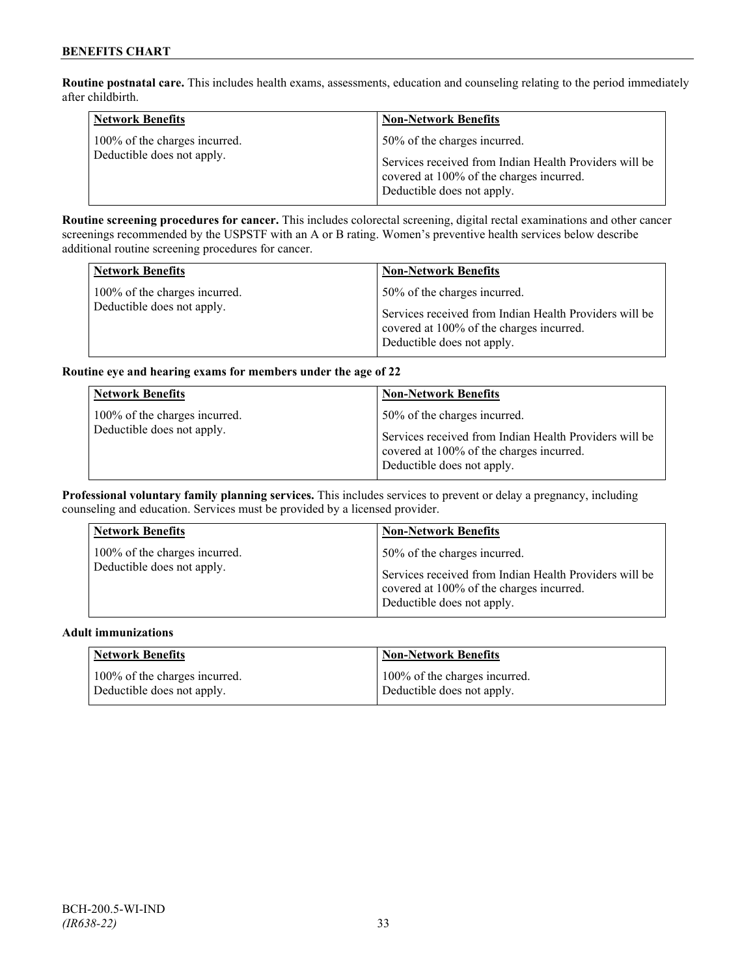**Routine postnatal care.** This includes health exams, assessments, education and counseling relating to the period immediately after childbirth.

| <b>Network Benefits</b>                                     | <b>Non-Network Benefits</b>                                                                                                                                      |
|-------------------------------------------------------------|------------------------------------------------------------------------------------------------------------------------------------------------------------------|
| 100% of the charges incurred.<br>Deductible does not apply. | 50% of the charges incurred.<br>Services received from Indian Health Providers will be<br>covered at 100% of the charges incurred.<br>Deductible does not apply. |

**Routine screening procedures for cancer.** This includes colorectal screening, digital rectal examinations and other cancer screenings recommended by the USPSTF with an A or B rating. Women's preventive health services below describe additional routine screening procedures for cancer.

| <b>Network Benefits</b>                                     | <b>Non-Network Benefits</b>                                                            |
|-------------------------------------------------------------|----------------------------------------------------------------------------------------|
| 100% of the charges incurred.<br>Deductible does not apply. | 50% of the charges incurred.<br>Services received from Indian Health Providers will be |
|                                                             | covered at 100% of the charges incurred.<br>Deductible does not apply.                 |

#### **Routine eye and hearing exams for members under the age of 22**

| <b>Network Benefits</b>                                     | <b>Non-Network Benefits</b>                                                                                                                                      |
|-------------------------------------------------------------|------------------------------------------------------------------------------------------------------------------------------------------------------------------|
| 100% of the charges incurred.<br>Deductible does not apply. | 50% of the charges incurred.<br>Services received from Indian Health Providers will be<br>covered at 100% of the charges incurred.<br>Deductible does not apply. |

**Professional voluntary family planning services.** This includes services to prevent or delay a pregnancy, including counseling and education. Services must be provided by a licensed provider.

| 50% of the charges incurred.<br>100% of the charges incurred.<br>Deductible does not apply.<br>Services received from Indian Health Providers will be<br>covered at 100% of the charges incurred.<br>Deductible does not apply. |  |
|---------------------------------------------------------------------------------------------------------------------------------------------------------------------------------------------------------------------------------|--|

#### **Adult immunizations**

| Network Benefits              | <b>Non-Network Benefits</b>   |
|-------------------------------|-------------------------------|
| 100% of the charges incurred. | 100% of the charges incurred. |
| Deductible does not apply.    | Deductible does not apply.    |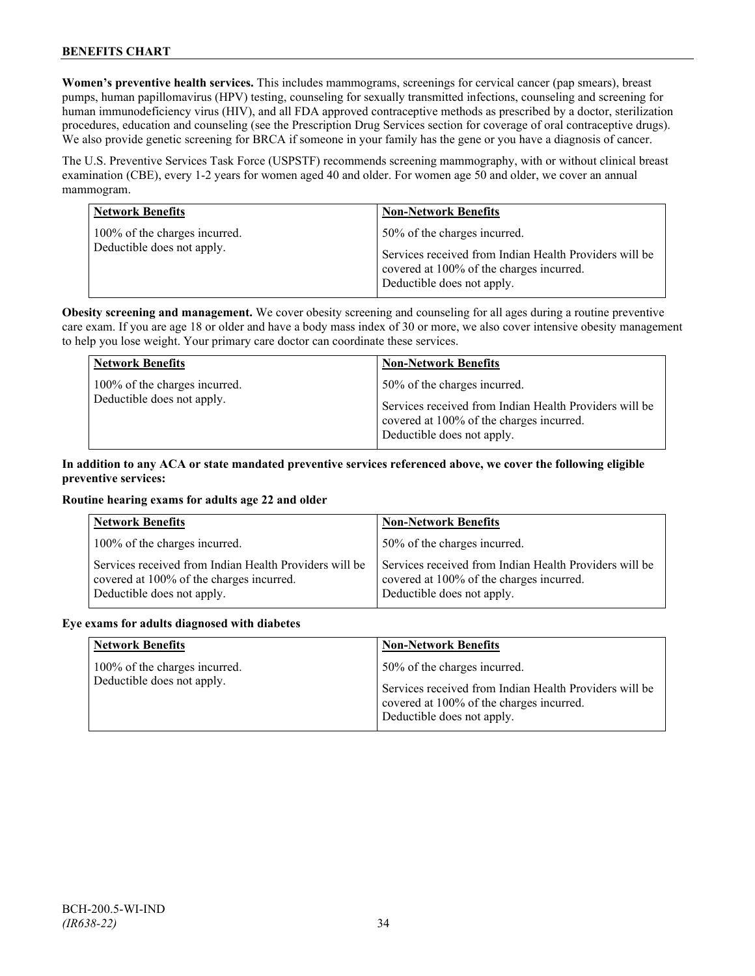**Women's preventive health services.** This includes mammograms, screenings for cervical cancer (pap smears), breast pumps, human papillomavirus (HPV) testing, counseling for sexually transmitted infections, counseling and screening for human immunodeficiency virus (HIV), and all FDA approved contraceptive methods as prescribed by a doctor, sterilization procedures, education and counseling (see the Prescription Drug Services section for coverage of oral contraceptive drugs). We also provide genetic screening for BRCA if someone in your family has the gene or you have a diagnosis of cancer.

The U.S. Preventive Services Task Force (USPSTF) recommends screening mammography, with or without clinical breast examination (CBE), every 1-2 years for women aged 40 and older. For women age 50 and older, we cover an annual mammogram.

| <b>Network Benefits</b>                                     | <b>Non-Network Benefits</b>                                                                                                                                      |
|-------------------------------------------------------------|------------------------------------------------------------------------------------------------------------------------------------------------------------------|
| 100% of the charges incurred.<br>Deductible does not apply. | 50% of the charges incurred.<br>Services received from Indian Health Providers will be<br>covered at 100% of the charges incurred.<br>Deductible does not apply. |

**Obesity screening and management.** We cover obesity screening and counseling for all ages during a routine preventive care exam. If you are age 18 or older and have a body mass index of 30 or more, we also cover intensive obesity management to help you lose weight. Your primary care doctor can coordinate these services.

| <b>Network Benefits</b>                                     | <b>Non-Network Benefits</b>                                                            |
|-------------------------------------------------------------|----------------------------------------------------------------------------------------|
| 100% of the charges incurred.<br>Deductible does not apply. | 50% of the charges incurred.<br>Services received from Indian Health Providers will be |
|                                                             | covered at 100% of the charges incurred.<br>Deductible does not apply.                 |

### **In addition to any ACA or state mandated preventive services referenced above, we cover the following eligible preventive services:**

#### **Routine hearing exams for adults age 22 and older**

| <b>Network Benefits</b>                                                                                                          | <b>Non-Network Benefits</b>                                                                                                      |
|----------------------------------------------------------------------------------------------------------------------------------|----------------------------------------------------------------------------------------------------------------------------------|
| 100% of the charges incurred.                                                                                                    | 50% of the charges incurred.                                                                                                     |
| Services received from Indian Health Providers will be<br>covered at 100% of the charges incurred.<br>Deductible does not apply. | Services received from Indian Health Providers will be<br>covered at 100% of the charges incurred.<br>Deductible does not apply. |

#### **Eye exams for adults diagnosed with diabetes**

| <b>Network Benefits</b>                                     | <b>Non-Network Benefits</b>                                                                                                                                      |
|-------------------------------------------------------------|------------------------------------------------------------------------------------------------------------------------------------------------------------------|
| 100% of the charges incurred.<br>Deductible does not apply. | 50% of the charges incurred.<br>Services received from Indian Health Providers will be<br>covered at 100% of the charges incurred.<br>Deductible does not apply. |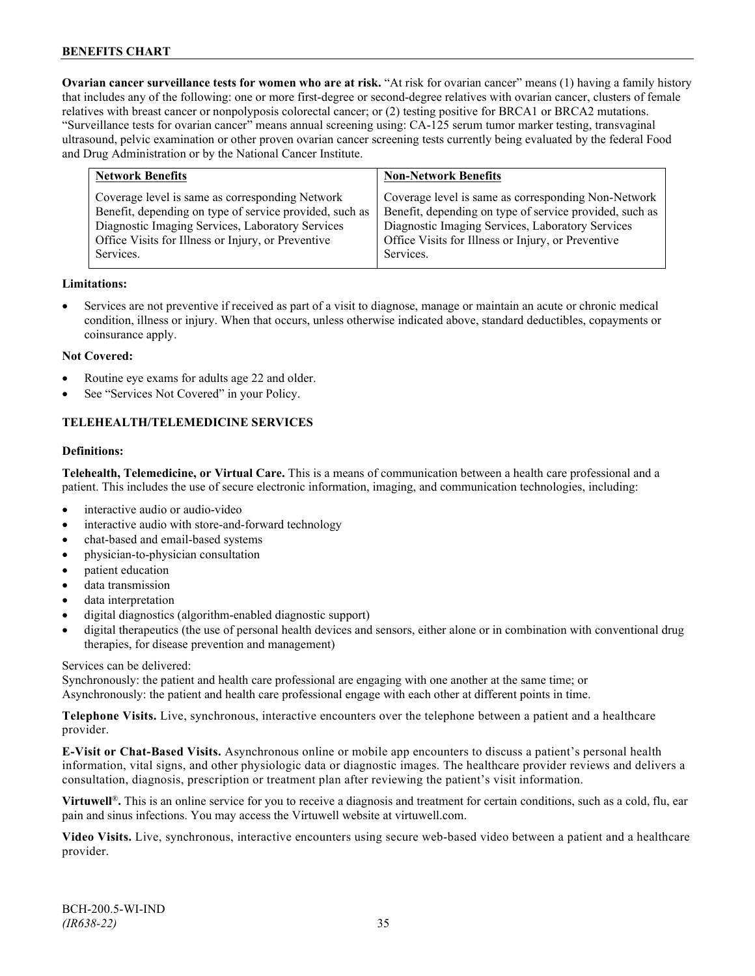**Ovarian cancer surveillance tests for women who are at risk.** "At risk for ovarian cancer" means (1) having a family history that includes any of the following: one or more first-degree or second-degree relatives with ovarian cancer, clusters of female relatives with breast cancer or nonpolyposis colorectal cancer; or (2) testing positive for BRCA1 or BRCA2 mutations. "Surveillance tests for ovarian cancer" means annual screening using: CA-125 serum tumor marker testing, transvaginal ultrasound, pelvic examination or other proven ovarian cancer screening tests currently being evaluated by the federal Food and Drug Administration or by the National Cancer Institute.

| <b>Network Benefits</b>                                                                                                                                                                                                           | <b>Non-Network Benefits</b>                                                                                                                                                                                                           |
|-----------------------------------------------------------------------------------------------------------------------------------------------------------------------------------------------------------------------------------|---------------------------------------------------------------------------------------------------------------------------------------------------------------------------------------------------------------------------------------|
| Coverage level is same as corresponding Network<br>Benefit, depending on type of service provided, such as<br>Diagnostic Imaging Services, Laboratory Services<br>Office Visits for Illness or Injury, or Preventive<br>Services. | Coverage level is same as corresponding Non-Network<br>Benefit, depending on type of service provided, such as<br>Diagnostic Imaging Services, Laboratory Services<br>Office Visits for Illness or Injury, or Preventive<br>Services. |
|                                                                                                                                                                                                                                   |                                                                                                                                                                                                                                       |

#### **Limitations:**

• Services are not preventive if received as part of a visit to diagnose, manage or maintain an acute or chronic medical condition, illness or injury. When that occurs, unless otherwise indicated above, standard deductibles, copayments or coinsurance apply.

#### **Not Covered:**

- Routine eye exams for adults age 22 and older.
- See "Services Not Covered" in your Policy.

## **TELEHEALTH/TELEMEDICINE SERVICES**

#### **Definitions:**

**Telehealth, Telemedicine, or Virtual Care.** This is a means of communication between a health care professional and a patient. This includes the use of secure electronic information, imaging, and communication technologies, including:

- interactive audio or audio-video
- interactive audio with store-and-forward technology
- chat-based and email-based systems
- physician-to-physician consultation
- patient education
- data transmission
- data interpretation
- digital diagnostics (algorithm-enabled diagnostic support)
- digital therapeutics (the use of personal health devices and sensors, either alone or in combination with conventional drug therapies, for disease prevention and management)

#### Services can be delivered:

Synchronously: the patient and health care professional are engaging with one another at the same time; or Asynchronously: the patient and health care professional engage with each other at different points in time.

**Telephone Visits.** Live, synchronous, interactive encounters over the telephone between a patient and a healthcare provider.

**E-Visit or Chat-Based Visits.** Asynchronous online or mobile app encounters to discuss a patient's personal health information, vital signs, and other physiologic data or diagnostic images. The healthcare provider reviews and delivers a consultation, diagnosis, prescription or treatment plan after reviewing the patient's visit information.

**Virtuwell<sup>®</sup>.** This is an online service for you to receive a diagnosis and treatment for certain conditions, such as a cold, flu, ear pain and sinus infections. You may access the Virtuwell website at [virtuwell.com.](https://www.virtuwell.com/)

**Video Visits.** Live, synchronous, interactive encounters using secure web-based video between a patient and a healthcare provider.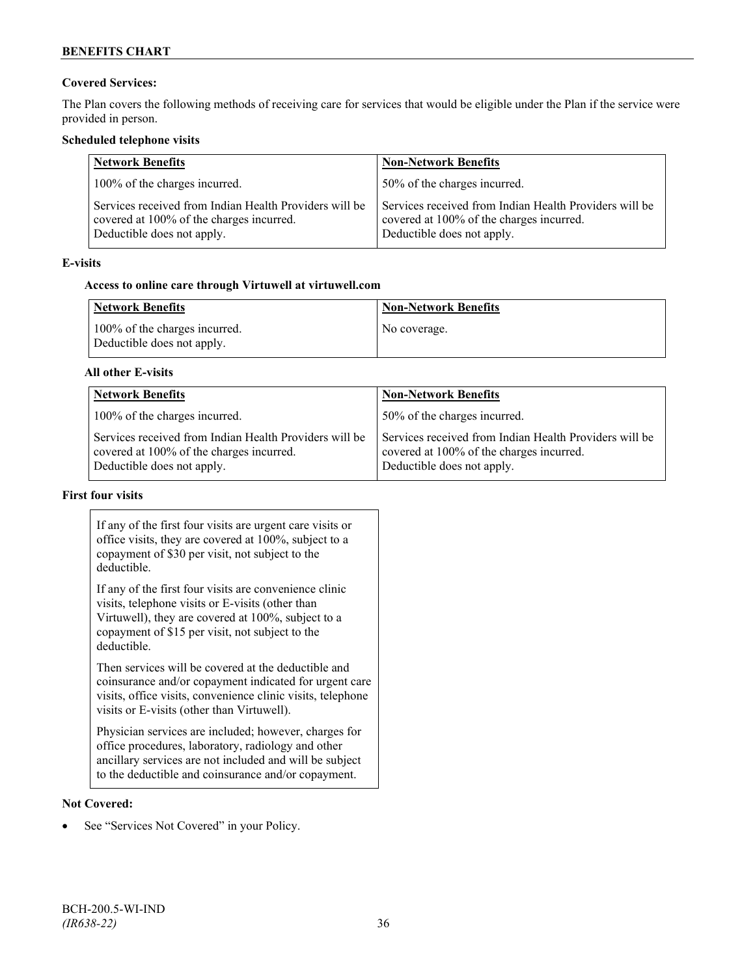## **Covered Services:**

The Plan covers the following methods of receiving care for services that would be eligible under the Plan if the service were provided in person.

#### **Scheduled telephone visits**

| <b>Network Benefits</b>                                                                                                          | <b>Non-Network Benefits</b>                                                                                                      |
|----------------------------------------------------------------------------------------------------------------------------------|----------------------------------------------------------------------------------------------------------------------------------|
| 100% of the charges incurred.                                                                                                    | 50% of the charges incurred.                                                                                                     |
| Services received from Indian Health Providers will be<br>covered at 100% of the charges incurred.<br>Deductible does not apply. | Services received from Indian Health Providers will be<br>covered at 100% of the charges incurred.<br>Deductible does not apply. |

#### **E-visits**

## **Access to online care through Virtuwell at [virtuwell.com](http://www.virtuwell.com/)**

| <b>Network Benefits</b>                                     | <b>Non-Network Benefits</b> |
|-------------------------------------------------------------|-----------------------------|
| 100% of the charges incurred.<br>Deductible does not apply. | No coverage.                |

#### **All other E-visits**

| <b>Network Benefits</b>                                                                                                          | <b>Non-Network Benefits</b>                                                                                                      |
|----------------------------------------------------------------------------------------------------------------------------------|----------------------------------------------------------------------------------------------------------------------------------|
| 100% of the charges incurred.                                                                                                    | 50% of the charges incurred.                                                                                                     |
| Services received from Indian Health Providers will be<br>covered at 100% of the charges incurred.<br>Deductible does not apply. | Services received from Indian Health Providers will be<br>covered at 100% of the charges incurred.<br>Deductible does not apply. |

## **First four visits**

| If any of the first four visits are urgent care visits or<br>office visits, they are covered at 100%, subject to a<br>copayment of \$30 per visit, not subject to the<br>deductible.                                               |  |
|------------------------------------------------------------------------------------------------------------------------------------------------------------------------------------------------------------------------------------|--|
| If any of the first four visits are convenience clinic<br>visits, telephone visits or E-visits (other than<br>Virtuwell), they are covered at 100%, subject to a<br>copayment of \$15 per visit, not subject to the<br>deductible. |  |
| Then services will be covered at the deductible and<br>coinsurance and/or copayment indicated for urgent care<br>visits, office visits, convenience clinic visits, telephone<br>visits or E-visits (other than Virtuwell).         |  |
| Physician services are included; however, charges for<br>office procedures, laboratory, radiology and other<br>ancillary services are not included and will be subject<br>to the deductible and coinsurance and/or copayment.      |  |

#### **Not Covered:**

• See "Services Not Covered" in your Policy.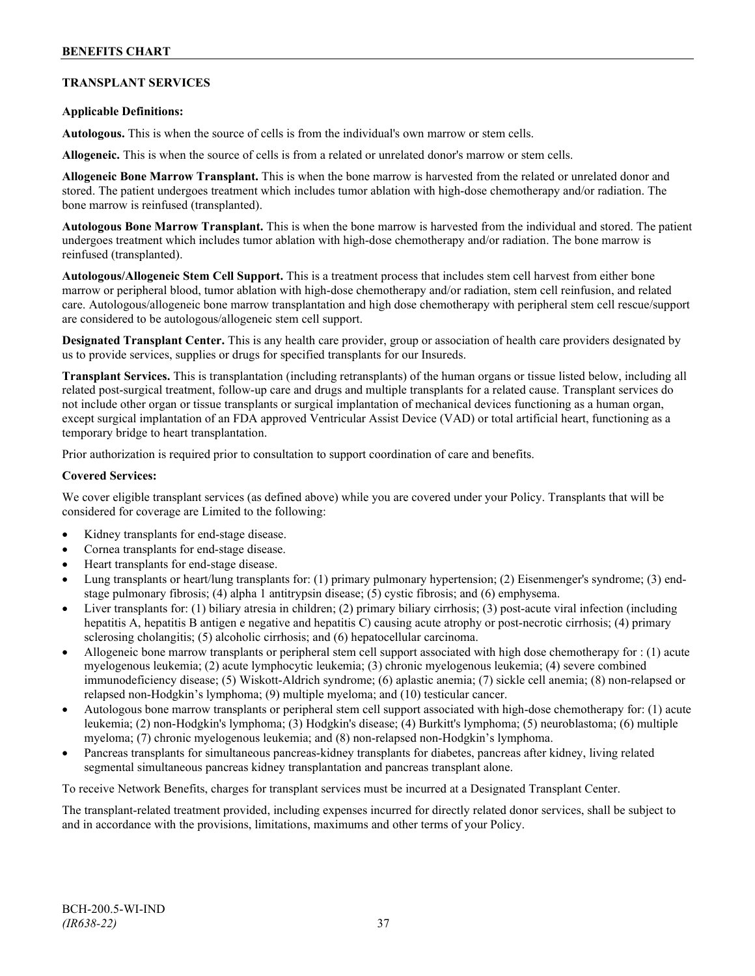## **TRANSPLANT SERVICES**

#### **Applicable Definitions:**

**Autologous.** This is when the source of cells is from the individual's own marrow or stem cells.

**Allogeneic.** This is when the source of cells is from a related or unrelated donor's marrow or stem cells.

**Allogeneic Bone Marrow Transplant.** This is when the bone marrow is harvested from the related or unrelated donor and stored. The patient undergoes treatment which includes tumor ablation with high-dose chemotherapy and/or radiation. The bone marrow is reinfused (transplanted).

**Autologous Bone Marrow Transplant.** This is when the bone marrow is harvested from the individual and stored. The patient undergoes treatment which includes tumor ablation with high-dose chemotherapy and/or radiation. The bone marrow is reinfused (transplanted).

**Autologous/Allogeneic Stem Cell Support.** This is a treatment process that includes stem cell harvest from either bone marrow or peripheral blood, tumor ablation with high-dose chemotherapy and/or radiation, stem cell reinfusion, and related care. Autologous/allogeneic bone marrow transplantation and high dose chemotherapy with peripheral stem cell rescue/support are considered to be autologous/allogeneic stem cell support.

**Designated Transplant Center.** This is any health care provider, group or association of health care providers designated by us to provide services, supplies or drugs for specified transplants for our Insureds.

**Transplant Services.** This is transplantation (including retransplants) of the human organs or tissue listed below, including all related post-surgical treatment, follow-up care and drugs and multiple transplants for a related cause. Transplant services do not include other organ or tissue transplants or surgical implantation of mechanical devices functioning as a human organ, except surgical implantation of an FDA approved Ventricular Assist Device (VAD) or total artificial heart, functioning as a temporary bridge to heart transplantation.

Prior authorization is required prior to consultation to support coordination of care and benefits.

#### **Covered Services:**

We cover eligible transplant services (as defined above) while you are covered under your Policy. Transplants that will be considered for coverage are Limited to the following:

- Kidney transplants for end-stage disease.
- Cornea transplants for end-stage disease.
- Heart transplants for end-stage disease.
- Lung transplants or heart/lung transplants for: (1) primary pulmonary hypertension; (2) Eisenmenger's syndrome; (3) endstage pulmonary fibrosis; (4) alpha 1 antitrypsin disease; (5) cystic fibrosis; and (6) emphysema.
- Liver transplants for: (1) biliary atresia in children; (2) primary biliary cirrhosis; (3) post-acute viral infection (including hepatitis A, hepatitis B antigen e negative and hepatitis C) causing acute atrophy or post-necrotic cirrhosis; (4) primary sclerosing cholangitis; (5) alcoholic cirrhosis; and (6) hepatocellular carcinoma.
- Allogeneic bone marrow transplants or peripheral stem cell support associated with high dose chemotherapy for : (1) acute myelogenous leukemia; (2) acute lymphocytic leukemia; (3) chronic myelogenous leukemia; (4) severe combined immunodeficiency disease; (5) Wiskott-Aldrich syndrome; (6) aplastic anemia; (7) sickle cell anemia; (8) non-relapsed or relapsed non-Hodgkin's lymphoma; (9) multiple myeloma; and (10) testicular cancer.
- Autologous bone marrow transplants or peripheral stem cell support associated with high-dose chemotherapy for: (1) acute leukemia; (2) non-Hodgkin's lymphoma; (3) Hodgkin's disease; (4) Burkitt's lymphoma; (5) neuroblastoma; (6) multiple myeloma; (7) chronic myelogenous leukemia; and (8) non-relapsed non-Hodgkin's lymphoma.
- Pancreas transplants for simultaneous pancreas-kidney transplants for diabetes, pancreas after kidney, living related segmental simultaneous pancreas kidney transplantation and pancreas transplant alone.

To receive Network Benefits, charges for transplant services must be incurred at a Designated Transplant Center.

The transplant-related treatment provided, including expenses incurred for directly related donor services, shall be subject to and in accordance with the provisions, limitations, maximums and other terms of your Policy.